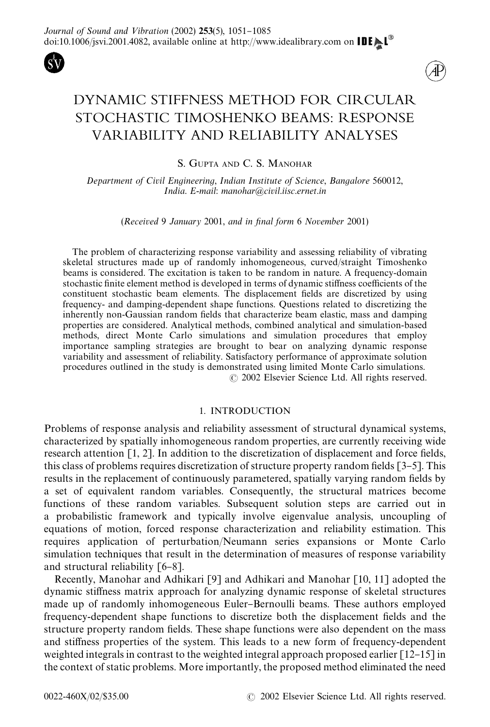



# DYNAMIC STIFFNESS METHOD FOR CIRCULAR STOCHASTIC TIMOSHENKO BEAMS: RESPONSE VARIABILITY AND RELIABILITY ANALYSES

S. GUPTA AND C. S. MANOHAR

Department of Civil Engineering, Indian Institute of Science, Bangalore 560012, India. E-mail: manohar@civil.iisc.ernet.in

 $(Received 9 January 2001, and in final form 6 November 2001)$ 

The problem of characterizing response variability and assessing reliability of vibrating skeletal structures made up of randomly inhomogeneous, curved/straight Timoshenko beams is considered. The excitation is taken to be random in nature. A frequency-domain stochastic finite element method is developed in terms of dynamic stiffness coefficients of the constituent stochastic beam elements. The displacement fields are discretized by using frequency- and damping-dependent shape functions. Questions related to discretizing the inherently non-Gaussian random fields that characterize beam elastic, mass and damping properties are considered. Analytical methods, combined analytical and simulation-based methods, direct Monte Carlo simulations and simulation procedures that employ importance sampling strategies are brought to bear on analyzing dynamic response variability and assessment of reliability. Satisfactory performance of approximate solution procedures outlined in the study is demonstrated using limited Monte Carlo simulations. 2002 Elsevier Science Ltd. All rights reserved.

# 1. INTRODUCTION

Problems of response analysis and reliability assessment of structural dynamical systems, characterized by spatially inhomogeneous random properties, are currently receiving wide research attention  $[1, 2]$ . In addition to the discretization of displacement and force fields, this class of problems requires discretization of structure property random fields  $[3-5]$ . This results in the replacement of continuously parametered, spatially varying random fields by a set of equivalent random variables. Consequently, the structural matrices become functions of these random variables. Subsequent solution steps are carried out in a probabilistic framework and typically involve eigenvalue analysis, uncoupling of equations of motion, forced response characterization and reliability estimation. This requires application of perturbation/Neumann series expansions or Monte Carlo simulation techniques that result in the determination of measures of response variability and structural reliability  $[6-8]$ .

Recently, Manohar and Adhikari [9] and Adhikari and Manohar [10, 11] adopted the dynamic stiffness matrix approach for analyzing dynamic response of skeletal structures made up of randomly inhomogeneous Euler–Bernoulli beams. These authors employed frequency-dependent shape functions to discretize both the displacement fields and the structure property random fields. These shape functions were also dependent on the mass and stiffness properties of the system. This leads to a new form of frequency-dependent weighted integrals in contrast to the weighted integral approach proposed earlier  $\lceil 12-15 \rceil$  in the context of static problems. More importantly, the proposed method eliminated the need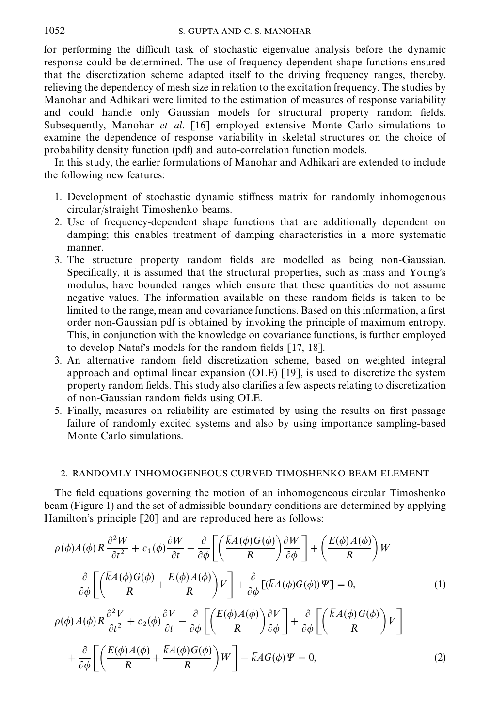for performing the difficult task of stochastic eigenvalue analysis before the dynamic response could be determined. The use of frequency-dependent shape functions ensured that the discretization scheme adapted itself to the driving frequency ranges, thereby, relieving the dependency of mesh size in relation to the excitation frequency. The studies by Manohar and Adhikari were limited to the estimation of measures of response variability and could handle only Gaussian models for structural property random fields. Subsequently, Manohar et al. [16] employed extensive Monte Carlo simulations to examine the dependence of response variability in skeletal structures on the choice of probability density function (pdf) and auto-correlation function models.

In this study, the earlier formulations of Manohar and Adhikari are extended to include the following new features:

- 1. Development of stochastic dynamic stiffness matrix for randomly inhomogenous circular/straight Timoshenko beams.
- 2. Use of frequency-dependent shape functions that are additionally dependent on damping; this enables treatment of damping characteristics in a more systematic manner.
- 3. The structure property random fields are modelled as being non-Gaussian. Specifically, it is assumed that the structural properties, such as mass and Young's modulus, have bounded ranges which ensure that these quantities do not assume negative values. The information available on these random fields is taken to be limited to the range, mean and covariance functions. Based on this information, a first order non-Gaussian pdf is obtained by invoking the principle of maximum entropy. This, in conjunction with the knowledge on covariance functions, is further employed to develop Nataf's models for the random fields  $[17, 18]$ .
- 3. An alternative random field discretization scheme, based on weighted integral approach and optimal linear expansion (OLE) [19], is used to discretize the system property random fields. This study also clarifies a few aspects relating to discretization of non-Gaussian random fields using OLE.
- 5. Finally, measures on reliability are estimated by using the results on first passage failure of randomly excited systems and also by using importance sampling-based Monte Carlo simulations.

# 2. RANDOMLY INHOMOGENEOUS CURVED TIMOSHENKO BEAM ELEMENT

The field equations governing the motion of an inhomogeneous circular Timoshenko beam(Figure 1) and the set of admissible boundary conditions are determined by applying Hamilton's principle [20] and are reproduced here as follows:

$$
\rho(\phi)A(\phi)R\frac{\partial^2 W}{\partial t^2} + c_1(\phi)\frac{\partial W}{\partial t} - \frac{\partial}{\partial \phi}\left[\left(\frac{\overline{k}A(\phi)G(\phi)}{R}\right)\frac{\partial W}{\partial \phi}\right] + \left(\frac{E(\phi)A(\phi)}{R}\right)W
$$

$$
-\frac{\partial}{\partial \phi}\left[\left(\frac{\overline{k}A(\phi)G(\phi)}{R} + \frac{E(\phi)A(\phi)}{R}\right)V\right] + \frac{\partial}{\partial \phi}\left[(\overline{k}A(\phi)G(\phi))\Psi\right] = 0,
$$
(1)
$$
\rho(\phi)A(\phi)R\frac{\partial^2 V}{\partial t^2} + c_2(\phi)\frac{\partial V}{\partial t} - \frac{\partial}{\partial \phi}\left[\left(\frac{E(\phi)A(\phi)}{R}\right)\frac{\partial V}{\partial \phi}\right] + \frac{\partial}{\partial \phi}\left[\left(\frac{\overline{k}A(\phi)G(\phi)}{R}\right)V\right]
$$

$$
+\frac{\partial}{\partial \phi}\left[\left(\frac{E(\phi)A(\phi)}{R} + \frac{\overline{k}A(\phi)G(\phi)}{R}\right)W\right] - \overline{k}AG(\phi)\Psi = 0,
$$
(2)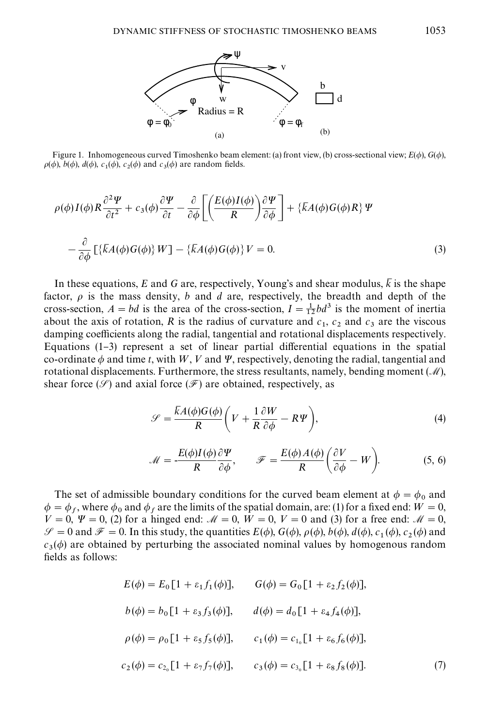

Figure 1. Inhomogeneous curved Timoshenko beam element: (a) front view, (b) cross-sectional view;  $E(\phi)$ ,  $G(\phi)$ ,  $\rho(\phi)$ ,  $b(\phi)$ ,  $d(\phi)$ ,  $c_1(\phi)$ ,  $c_2(\phi)$  and  $c_3(\phi)$  are random fields.

$$
\rho(\phi)I(\phi)R\frac{\partial^2 \Psi}{\partial t^2} + c_3(\phi)\frac{\partial \Psi}{\partial t} - \frac{\partial}{\partial \phi}\left[\left(\frac{E(\phi)I(\phi)}{R}\right)\frac{\partial \Psi}{\partial \phi}\right] + \left\{kA(\phi)G(\phi)R\right\}\Psi
$$

$$
-\frac{\partial}{\partial \phi}\left[\left\{kA(\phi)G(\phi)\right\}W\right] - \left\{kA(\phi)G(\phi)\right\}V = 0.
$$
 (3)

In these equations, E and G are, respectively, Young's and shear modulus,  $\overline{k}$  is the shape factor,  $\rho$  is the mass density, b and d are, respectively, the breadth and depth of the cross-section,  $A = bd$  is the area of the cross-section,  $I = \frac{1}{12}bd^3$  is the moment of inertia about the axis of rotation, R is the radius of curvature and  $c_1$ ,  $c_2$  and  $c_3$  are the viscous damping coefficients along the radial, tangential and rotational displacements respectively. Equations  $(1-3)$  represent a set of linear partial differential equations in the spatial co-ordinate  $\phi$  and time t, with W, V and  $\Psi$ , respectively, denoting the radial, tangential and rotational displacements. Furthermore, the stress resultants, namely, bending moment  $(\mathcal{M})$ , shear force ( $\mathscr{S}$ ) and axial force ( $\mathscr{F}$ ) are obtained, respectively, as

$$
\mathcal{S} = \frac{\overline{k}A(\phi)G(\phi)}{R} \left( V + \frac{1}{R} \frac{\partial W}{\partial \phi} - R\Psi \right),\tag{4}
$$

$$
\mathcal{M} = -\frac{E(\phi)I(\phi)}{R}\frac{\partial \Psi}{\partial \phi}, \qquad \mathcal{F} = \frac{E(\phi)A(\phi)}{R}\left(\frac{\partial V}{\partial \phi} - W\right). \tag{5, 6}
$$

The set of admissible boundary conditions for the curved beam element at  $\phi = \phi_0$  and  $\phi = \phi_f$ , where  $\phi_0$  and  $\phi_f$  are the limits of the spatial domain, are: (1) for a fixed end:  $W = 0$ ,  $V = 0$ ,  $\Psi = 0$ , (2) for a hinged end:  $M = 0$ ,  $W = 0$ ,  $V = 0$  and (3) for a free end:  $M = 0$ ,  $\mathscr{S} = 0$  and  $\mathscr{F} = 0$ . In this study, the quantities  $E(\phi)$ ,  $G(\phi)$ ,  $\rho(\phi)$ ,  $b(\phi)$ ,  $d(\phi)$ ,  $c_1(\phi)$ ,  $c_2(\phi)$  and  $c_3(\phi)$  are obtained by perturbing the associated nominal values by homogenous random fields as follows:

$$
E(\phi) = E_0[1 + \varepsilon_1 f_1(\phi)], \qquad G(\phi) = G_0[1 + \varepsilon_2 f_2(\phi)],
$$
  
\n
$$
b(\phi) = b_0[1 + \varepsilon_3 f_3(\phi)], \qquad d(\phi) = d_0[1 + \varepsilon_4 f_4(\phi)],
$$
  
\n
$$
\rho(\phi) = \rho_0[1 + \varepsilon_5 f_5(\phi)], \qquad c_1(\phi) = c_{1_0}[1 + \varepsilon_6 f_6(\phi)],
$$
  
\n
$$
c_2(\phi) = c_{2_0}[1 + \varepsilon_7 f_7(\phi)], \qquad c_3(\phi) = c_{3_0}[1 + \varepsilon_8 f_8(\phi)].
$$
\n(7)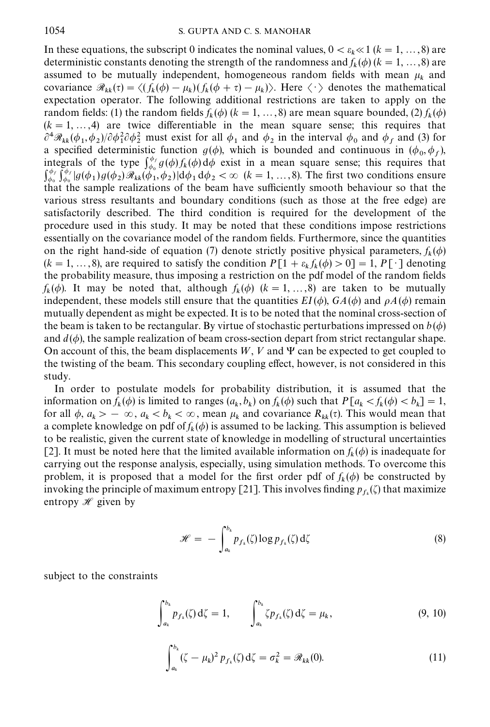In these equations, the subscript 0 indicates the nominal values,  $0 < \varepsilon_k \ll 1$  ( $k = 1, ..., 8$ ) are deterministic constants denoting the strength of the randomness and  $f_k(\phi)$  ( $k = 1, ..., 8$ ) are assumed to be mutually independent, homogeneous random fields with mean  $\mu_k$  and covariance  $\Re_{kk}(\tau) = \langle (f_k(\phi) - \mu_k)(f_k(\phi + \tau) - \mu_k) \rangle$ . Here  $\langle \cdot \rangle$  denotes the mathematical expectation operator. The following additional restrictions are taken to apply on the random fields: (1) the random fields  $f_k(\phi)$  ( $k = 1, ..., 8$ ) are mean square bounded, (2)  $f_k(\phi)$  $(k = 1, ..., 4)$  are twice differentiable in the mean square sense; this requires that  $\partial^4 \mathcal{R}_{kk}(\phi_1, \phi_2)/\partial \phi_1^2 \partial \phi_2^2$  must exist for all  $\phi_1$  and  $\phi_2$  in the interval  $\phi_0$  and  $\phi_f$  and (3) for a specified deterministic function  $g(\phi)$ , which is bounded and continuous in  $(\phi_0, \phi_f)$ , integrals of the type  $\int_{\phi_0}^{\phi_f} g(\phi) f_k(\phi) d\phi$  exist in a mean square sense; this requires that  $\int_{\phi_0}^{\phi_f} \int_{\phi_0}^{\phi_f} |g(\phi_1)g(\phi_2) \mathcal{R}_{kk}(\phi_1, \phi_2)| d\phi_1 d\phi_2 < \infty$   $(k = 1, ..., 8)$ . The first two conditions ensure that the sample realizations of the beam have sufficiently smooth behaviour so that the various stress resultants and boundary conditions (such as those at the free edge) are satisfactorily described. The third condition is required for the development of the procedure used in this study. It may be noted that these conditions impose restrictions essentially on the covariance model of the random fields. Furthermore, since the quantities on the right hand-side of equation (7) denote strictly positive physical parameters,  $f_k(\phi)$  $(k = 1, ..., 8)$ , are required to satisfy the condition  $P[1 + \varepsilon_k f_k(\phi) > 0] = 1, P[\cdot]$  denoting the probability measure, thus imposing a restriction on the pdf model of the random fields  $f_k(\phi)$ . It may be noted that, although  $f_k(\phi)$  ( $k = 1, ..., 8$ ) are taken to be mutually independent, these models still ensure that the quantities  $EI(\phi)$ ,  $GA(\phi)$  and  $\rho A(\phi)$  remain mutually dependent as might be expected. It is to be noted that the nominal cross-section of the beam is taken to be rectangular. By virtue of stochastic perturbations impressed on  $b(\phi)$ and  $d(\phi)$ , the sample realization of beam cross-section depart from strict rectangular shape. On account of this, the beam displacements  $W, V$  and  $\Psi$  can be expected to get coupled to the twisting of the beam. This secondary coupling effect, however, is not considered in this study.

In order to postulate models for probability distribution, it is assumed that the information on  $f_k(\phi)$  is limited to ranges  $(a_k, b_k)$  on  $f_k(\phi)$  such that  $P[a_k < f_k(\phi) < b_k] = 1$ , for all  $\phi$ ,  $a_k > -\infty$ ,  $a_k < b_k < \infty$ , mean  $\mu_k$  and covariance  $R_{kk}(\tau)$ . This would mean that a complete knowledge on pdf of  $f_k(\phi)$  is assumed to be lacking. This assumption is believed to be realistic, given the current state of knowledge in modelling of structural uncertainties [2]. It must be noted here that the limited available information on  $f_k(\phi)$  is inadequate for carrying out the response analysis, especially, using simulation methods. To overcome this problem, it is proposed that a model for the first order pdf of  $f_k(\phi)$  be constructed by invoking the principle of maximum entropy [21]. This involves finding  $p_{f_k}(\zeta)$  that maximize entropy  $\mathscr H$  given by

$$
\mathcal{H} = -\int_{a_k}^{b_k} p_{f_k}(\zeta) \log p_{f_k}(\zeta) d\zeta
$$
 (8)

subject to the constraints

$$
\int_{a_k}^{b_k} p_{f_k}(\zeta) d\zeta = 1, \qquad \int_{a_k}^{b_k} \zeta p_{f_k}(\zeta) d\zeta = \mu_k, \tag{9, 10}
$$

$$
\int_{a_k}^{b_k} (\zeta - \mu_k)^2 p_{f_k}(\zeta) d\zeta = \sigma_k^2 = \mathcal{R}_{kk}(0).
$$
 (11)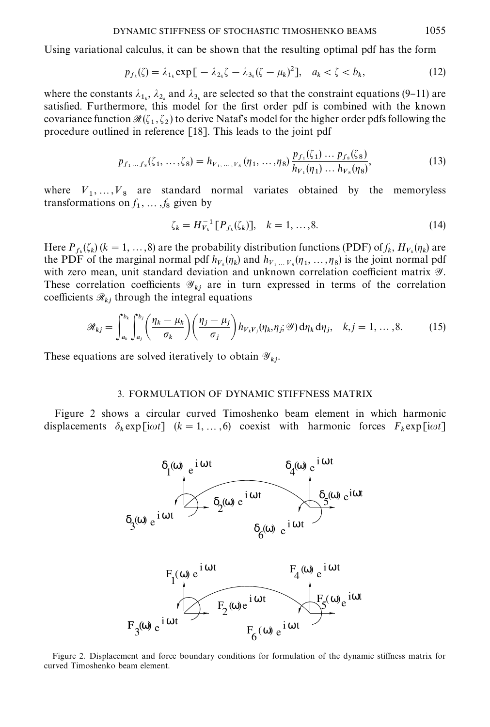Using variational calculus, it can be shown that the resulting optimal pdf has the form

$$
p_{f_k}(\zeta) = \lambda_{1_k} \exp\left[-\lambda_{2_k}\zeta - \lambda_{3_k}(\zeta - \mu_k)^2\right], \quad a_k < \zeta < b_k,\tag{12}
$$

where the constants  $\lambda_{1_k}$ ,  $\lambda_{2_k}$  and  $\lambda_{3_k}$  are selected so that the constraint equations (9–11) are satisfied. Furthermore, this model for the first order pdf is combined with the known covariance function  $\mathcal{R}(\zeta_1, \zeta_2)$  to derive Nataf's model for the higher order pdfs following the procedure outlined in reference [18]. This leads to the joint pdf

$$
p_{f_1...f_8}(\zeta_1,...,\zeta_8) = h_{V_1,...,V_8}(\eta_1,...,\eta_8) \frac{p_{f_1}(\zeta_1) \dots p_{f_8}(\zeta_8)}{h_{V_1}(\eta_1) \dots h_{V_8}(\eta_8)},
$$
(13)

where  $V_1, \ldots, V_8$  are standard normal variates obtained by the memoryless transformations on  $f_1, \ldots, f_8$  given by

$$
\zeta_k = H_{V_k}^{-1} [P_{f_k}(\zeta_k)], \quad k = 1, ..., 8.
$$
 (14)

Here  $P_{f_k}(\zeta_k)$  ( $k = 1, ..., 8$ ) are the probability distribution functions (PDF) of  $f_k$ ,  $H_{V_k}(\eta_k)$  are the PDF of the marginal normal pdf  $h_{V_k}(\eta_k)$  and  $h_{V_1...V_s}(\eta_1,...,\eta_8)$  is the joint normal pdf with zero mean, unit standard deviation and unknown correlation coefficient matrix  $\mathscr Y$ . These correlation coefficients  $\mathscr{Y}_{kj}$  are in turn expressed in terms of the correlation coefficients  $\mathcal{R}_{kj}$  through the integral equations

$$
\mathscr{R}_{kj} = \int_{a_k}^{b_k} \int_{a_j}^{b_j} \left( \frac{\eta_k - \mu_k}{\sigma_k} \right) \left( \frac{\eta_j - \mu_j}{\sigma_j} \right) h_{V_k V_j}(\eta_k, \eta_j; \mathscr{Y}) d\eta_k d\eta_j, \quad k, j = 1, ..., 8. \tag{15}
$$

These equations are solved iteratively to obtain  $\mathscr{Y}_{kj}$ .

## 3. FORMULATION OF DYNAMIC STIFFNESS MATRIX

Figure 2 shows a circular curved Timoshenko beam element in which harmonic displacements  $\delta_k \exp[i\omega t]$   $(k = 1, ..., 6)$  coexist with harmonic forces  $F_k \exp[i\omega t]$ 



Figure 2. Displacement and force boundary conditions for formulation of the dynamic stiffness matrix for curved Timoshenko beam element.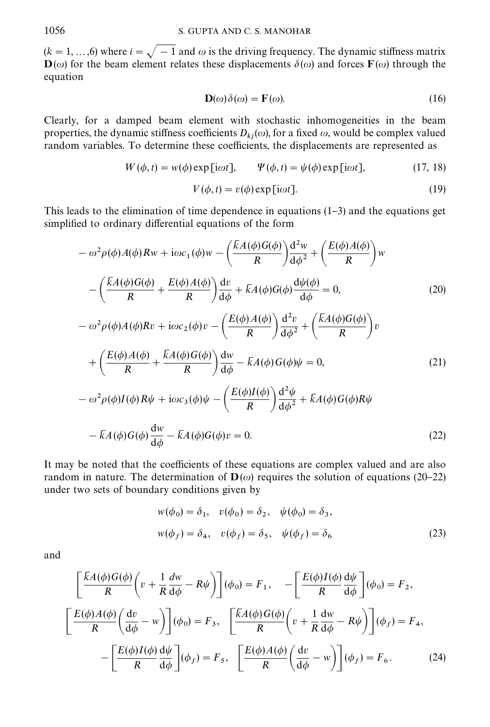$(k = 1, ..., 6)$  where  $i = \sqrt{-1}$  and  $\omega$  is the driving frequency. The dynamic stiffness matrix  $\mathbf{D}(\omega)$  for the beam element relates these displacements  $\delta(\omega)$  and forces  $\mathbf{F}(\omega)$  through the equation

$$
\mathbf{D}(\omega)\delta(\omega) = \mathbf{F}(\omega). \tag{16}
$$

Clearly, for a damped beam element with stochastic inhomogeneities in the beam properties, the dynamic stiffness coefficients  $D_{kj}(\omega)$ , for a fixed  $\omega$ , would be complex valued random variables. To determine these coefficients, the displacements are represented as

$$
W(\phi, t) = w(\phi) \exp[i\omega t], \qquad \Psi(\phi, t) = \psi(\phi) \exp[i\omega t], \tag{17, 18}
$$

$$
V(\phi, t) = v(\phi) \exp[i\omega t].
$$
\n(19)

This leads to the elimination of time dependence in equations  $(1-3)$  and the equations get simplified to ordinary differential equations of the form

$$
-\omega^2 \rho(\phi) A(\phi) Rw + i\omega c_1(\phi) w - \left(\frac{\overline{k}A(\phi)G(\phi)}{R}\right) \frac{d^2w}{d\phi^2} + \left(\frac{E(\phi)A(\phi)}{R}\right) w
$$

$$
-\left(\frac{\overline{k}A(\phi)G(\phi)}{R} + \frac{E(\phi)A(\phi)}{R}\right) \frac{dv}{d\phi} + \overline{k}A(\phi)G(\phi) \frac{d\psi(\phi)}{d\phi} = 0, \qquad (20)
$$

$$
-\omega^2 \rho(\phi)A(\phi)Rv + i\omega c_2(\phi)v - \left(\frac{E(\phi)A(\phi)}{R}\right) \frac{d^2v}{d\phi^2} + \left(\frac{\overline{k}A(\phi)G(\phi)}{R}\right)v
$$

$$
+\left(\frac{E(\phi)A(\phi)}{R} + \frac{\overline{k}A(\phi)G(\phi)}{R}\right) \frac{dw}{d\phi} - \overline{k}A(\phi)G(\phi)\psi = 0, \qquad (21)
$$

$$
-\omega^2 \rho(\phi)I(\phi)R\psi + i\omega c_3(\phi)\psi - \left(\frac{E(\phi)I(\phi)}{R}\right) \frac{d^2\psi}{d\phi^2} + \overline{k}A(\phi)G(\phi)R\psi
$$

$$
- \overline{k}A(\phi)G(\phi) \frac{dw}{d\phi} - \overline{k}A(\phi)G(\phi)v = 0. \qquad (22)
$$

It may be noted that the coefficients of these equations are complex valued and are also random in nature. The determination of  $\mathbf{D}(\omega)$  requires the solution of equations (20–22) under two sets of boundary conditions given by

$$
w(\phi_0) = \delta_1, \quad v(\phi_0) = \delta_2, \quad \psi(\phi_0) = \delta_3,
$$
  

$$
w(\phi_f) = \delta_4, \quad v(\phi_f) = \delta_5, \quad \psi(\phi_f) = \delta_6
$$
 (23)

and

$$
\left[\frac{\overline{K}A(\phi)G(\phi)}{R}\left(v + \frac{1}{R}\frac{dw}{d\phi} - R\psi\right)\right](\phi_0) = F_1, \quad -\left[\frac{E(\phi)I(\phi)}{R}\frac{d\psi}{d\phi}\right](\phi_0) = F_2,
$$
\n
$$
\left[\frac{E(\phi)A(\phi)}{R}\left(\frac{dv}{d\phi} - w\right)\right](\phi_0) = F_3, \quad \left[\frac{\overline{K}A(\phi)G(\phi)}{R}\left(v + \frac{1}{R}\frac{dw}{d\phi} - R\psi\right)\right](\phi_f) = F_4,
$$
\n
$$
-\left[\frac{E(\phi)I(\phi)}{R}\frac{d\psi}{d\phi}\right](\phi_f) = F_5, \quad \left[\frac{E(\phi)A(\phi)}{R}\left(\frac{dv}{d\phi} - w\right)\right](\phi_f) = F_6.
$$
\n(24)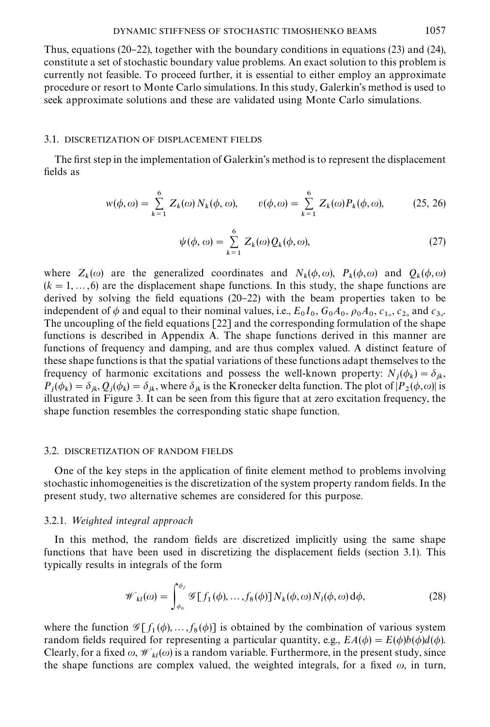Thus, equations (20–22), together with the boundary conditions in equations (23) and (24), constitute a set of stochastic boundary value problems. An exact solution to this problem is currently not feasible. To proceed further, it is essential to either employ an approximate procedure or resort to Monte Carlo simulations. In this study, Galerkin's method is used to seek approximate solutions and these are validated using Monte Carlo simulations.

#### 3.1. DISCRETIZATION OF DISPLACEMENT FIELDS

The first step in the implementation of Galerkin's method is to represent the displacement fields as

$$
w(\phi, \omega) = \sum_{k=1}^{6} Z_k(\omega) N_k(\phi, \omega), \qquad v(\phi, \omega) = \sum_{k=1}^{6} Z_k(\omega) P_k(\phi, \omega), \tag{25, 26}
$$

$$
\psi(\phi,\omega) = \sum_{k=1}^{6} Z_k(\omega) Q_k(\phi,\omega), \qquad (27)
$$

where  $Z_k(\omega)$  are the generalized coordinates and  $N_k(\phi, \omega)$ ,  $P_k(\phi, \omega)$  and  $Q_k(\phi, \omega)$  $(k = 1, \ldots, 6)$  are the displacement shape functions. In this study, the shape functions are derived by solving the field equations  $(20-22)$  with the beam properties taken to be independent of  $\phi$  and equal to their nominal values, i.e.,  $E_0 I_0$ ,  $G_0 A_0$ ,  $\rho_0 A_0$ ,  $c_{1_0}$ ,  $c_{2_0}$  and  $c_{3_0}$ . The uncoupling of the field equations  $[22]$  and the corresponding formulation of the shape functions is described in Appendix A. The shape functions derived in this manner are functions of frequency and damping, and are thus complex valued. A distinct feature of these shape functions is that the spatial variations of these functions adapt themselves to the frequency of harmonic excitations and possess the well-known property:  $N_j(\phi_k) = \delta_{jk}$ ,  $P_j(\phi_k) = \delta_{jk}$ ,  $Q_j(\phi_k) = \delta_{jk}$ , where  $\delta_{jk}$  is the Kronecker delta function. The plot of  $|P_2(\phi, \omega)|$  is illustrated in Figure 3. It can be seen from this figure that at zero excitation frequency, the shape function resembles the corresponding static shape function.

### 3.2. DISCRETIZATION OF RANDOM FIELDS

One of the key steps in the application of finite element method to problems involving stochastic inhomogeneities is the discretization of the system property random "elds. In the present study, two alternative schemes are considered for this purpose.

## 3.2.1. Weighted integral approach

In this method, the random fields are discretized implicitly using the same shape functions that have been used in discretizing the displacement fields (section 3.1). This typically results in integrals of the form

$$
\mathscr{W}_{kl}(\omega) = \int_{\phi_0}^{\phi_f} \mathscr{G}[f_1(\phi), \dots, f_8(\phi)] N_k(\phi, \omega) N_l(\phi, \omega) d\phi, \tag{28}
$$

where the function  $\mathscr{G}[f_1(\phi),...,f_8(\phi)]$  is obtained by the combination of various system random fields required for representing a particular quantity, e.g.,  $EA(\phi) = E(\phi)b(\phi)d(\phi)$ . Clearly, for a fixed  $\omega$ ,  $\mathcal{W}_{kl}(\omega)$  is a random variable. Furthermore, in the present study, since the shape functions are complex valued, the weighted integrals, for a fixed  $\omega$ , in turn,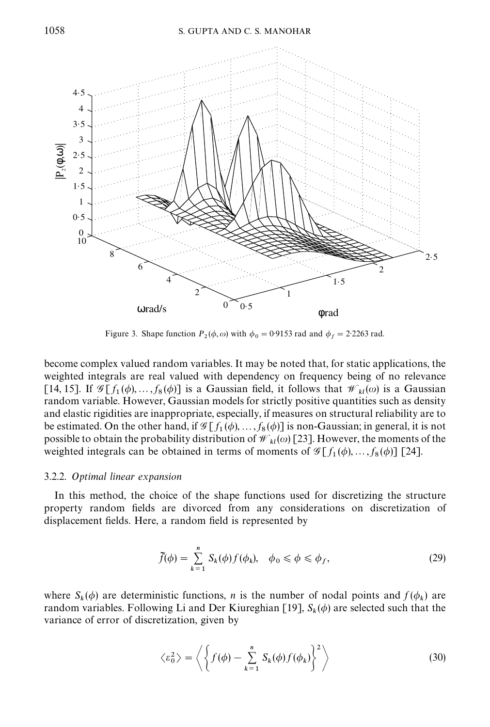

Figure 3. Shape function  $P_2(\phi, \omega)$  with  $\phi_0 = 0.9153$  rad and  $\phi_f = 2.2263$  rad.

become complex valued random variables. It may be noted that, for static applications, the weighted integrals are real valued with dependency on frequency being of no relevance [14, 15]. If  $\mathscr{G}[f_1(\phi),...,f_8(\phi)]$  is a Gaussian field, it follows that  $\mathscr{W}_{kl}(\omega)$  is a Gaussian random variable. However, Gaussian models for strictly positive quantities such as density and elastic rigidities are inappropriate, especially, if measures on structural reliability are to be estimated. On the other hand, if  $\mathscr{G}[f_1(\phi),..., f_8(\phi)]$  is non-Gaussian; in general, it is not possible to obtain the probability distribution of  $\mathcal{W}_{kl}(\omega)$  [23]. However, the moments of the weighted integrals can be obtained in terms of moments of  $\mathscr{G}[f_1(\phi),...,f_8(\phi)]$  [24].

## 3.2.2. Optimal linear expansion

In this method, the choice of the shape functions used for discretizing the structure property random fields are divorced from any considerations on discretization of displacement fields. Here, a random field is represented by

$$
\tilde{f}(\phi) = \sum_{k=1}^{n} S_k(\phi) f(\phi_k), \quad \phi_0 \le \phi \le \phi_f,
$$
\n(29)

where  $S_k(\phi)$  are deterministic functions, *n* is the number of nodal points and  $f(\phi_k)$  are random variables. Following Li and Der Kiureghian [19],  $S_k(\phi)$  are selected such that the variance of error of discretization, given by

$$
\langle \varepsilon_0^2 \rangle = \left\langle \left\{ f(\phi) - \sum_{k=1}^n S_k(\phi) f(\phi_k) \right\}^2 \right\rangle \tag{30}
$$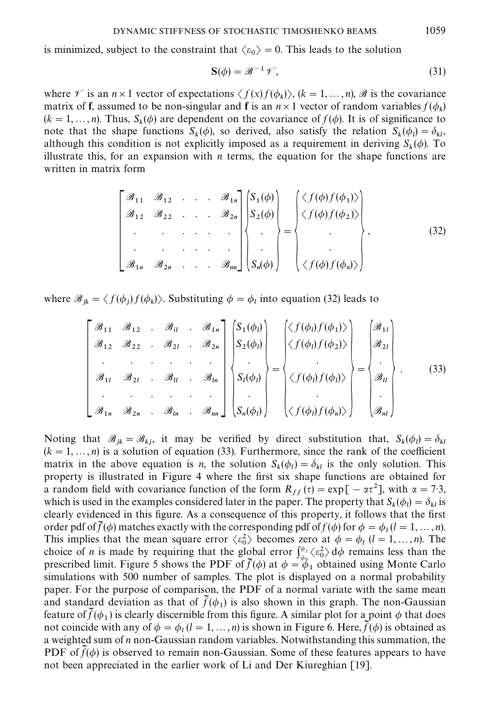is minimized, subject to the constraint that  $\langle \varepsilon_0 \rangle = 0$ . This leads to the solution

$$
S(\phi) = \mathcal{B}^{-1} \mathcal{V},\tag{31}
$$

where  $\mathscr V$  is an  $n \times 1$  vector of expectations  $\langle f(x) f(\phi_k) \rangle$ ,  $(k = 1, ..., n)$ ,  $\mathscr B$  is the covariance matrix of **f**, assumed to be non-singular and **f** is an  $n \times 1$  vector of random variables  $f(\phi_k)$  $(k = 1, ..., n)$ . Thus,  $S_k(\phi)$  are dependent on the covariance of  $f(\phi)$ . It is of significance to note that the shape functions  $S_k(\phi)$ , so derived, also satisfy the relation  $S_k(\phi_i) = \delta_{kl}$ , although this condition is not explicitly imposed as a requirement in deriving  $S_k(\phi)$ . To illustrate this, for an expansion with  $n$  terms, the equation for the shape functions are written in matrix form

$$
\begin{bmatrix} \mathcal{B}_{11} & \mathcal{B}_{12} & \cdots & \mathcal{B}_{1n} \\ \mathcal{B}_{12} & \mathcal{B}_{22} & \cdots & \mathcal{B}_{2n} \\ \vdots & \vdots & \ddots & \vdots \\ \mathcal{B}_{1n} & \mathcal{B}_{2n} & \cdots & \mathcal{B}_{nn} \end{bmatrix} \begin{bmatrix} S_1(\phi) \\ S_2(\phi) \\ \vdots \\ S_n(\phi) \end{bmatrix} = \begin{bmatrix} \langle f(\phi)f(\phi_1) \rangle \\ \langle f(\phi)f(\phi_2) \rangle \\ \vdots \\ \langle f(\phi)f(\phi_n) \rangle \end{bmatrix},
$$
(32)

where  $\mathscr{B}_{jk} = \langle f(\phi_j)f(\phi_k)\rangle$ . Substituting  $\phi = \phi_l$  into equation (32) leads to

$$
\begin{bmatrix}\n\mathcal{B}_{11} & \mathcal{B}_{12} & \mathcal{B}_{1l} & \mathcal{B}_{1n} \\
\mathcal{B}_{12} & \mathcal{B}_{22} & \mathcal{B}_{2l} & \mathcal{B}_{2n} \\
\vdots & \vdots & \ddots & \vdots \\
\mathcal{B}_{1n} & \mathcal{B}_{2n} & \mathcal{B}_{1n} & \mathcal{B}_{1n} \\
\vdots & \vdots & \vdots & \ddots \\
\mathcal{B}_{1n} & \mathcal{B}_{2n} & \mathcal{B}_{1n} & \mathcal{B}_{1n}\n\end{bmatrix}\n\begin{bmatrix}\nS_1(\phi_l) \\
S_2(\phi_l) \\
\vdots \\
S_n(\phi_l)\n\end{bmatrix} =\n\begin{bmatrix}\n\langle f(\phi_l)f(\phi_1)\rangle \\
\langle f(\phi_l)f(\phi_2)\rangle \\
\vdots \\
\langle f(\phi_l)f(\phi_l)\rangle \\
\vdots \\
\langle f(\phi_l)f(\phi_n)\rangle\n\end{bmatrix} =\n\begin{bmatrix}\n\mathcal{B}_{1l} \\
\mathcal{B}_{2l} \\
\vdots \\
\mathcal{B}_{ll} \\
\vdots \\
\mathcal{B}_{nl}\n\end{bmatrix}.
$$
\n(33)

Noting that  $\mathscr{B}_{jk} = \mathscr{B}_{kj}$ , it may be verified by direct substitution that,  $S_k(\phi_i) = \delta_k$ Noting that  $\mathscr{B}_{jk} = \mathscr{B}_{kj}$ , it may be verified by direct substitution that,  $S_k(\varphi_l) = o_{kl}$ <br>( $k = 1, ..., n$ ) is a solution of equation (33). Furthermore, since the rank of the coefficient matrix in the above equation is *n*, the solution  $S_k(\phi_l) = \delta_{kl}$  is the only solution. This property is illustrated in Figure 4 where the first six shape functions are obtained for a random field with covariance function of the form  $R_{ff}(\tau) = \exp[-\alpha \tau^2]$ , with  $\alpha = 7.3$ , which is used in the examples considered later in the paper. The property that  $S_k(\phi_l) = \delta_{kl}$  is clearly evidenced in this figure. As a consequence of this property, it follows that the first order pdf of  $\tilde{f}(\phi)$  matches exactly with the corresponding pdf of  $f(\phi)$  for  $\phi = \phi_i$  ( $l = 1, ..., n$ ). This implies that the mean square error  $\langle \varepsilon_0^2 \rangle$  becomes zero at  $\phi = \phi_l$  ( $l = 1, ..., n$ ). The choice of *n* is made by requiring that the global error  $\int_{\phi_0}^{\phi_f} \langle \epsilon_0^2 \rangle d\phi$  remains less than the prescribed limit. Figure 5 shows the PDF of  $\tilde{f}(\phi)$  at  $\phi = \phi_1$  obtained using Monte Carlo simulations with 500 number of samples. The plot is displayed on a normal probability paper. For the purpose of comparison, the PDF of a normal variate with the same mean and standard deviation as that of  $\tilde{f}(\phi_1)$  is also shown in this graph. The non-Gaussian feature of  $\tilde{f}(\phi_1)$  is clearly discernible from this figure. A similar plot for a point  $\phi$  that does not coincide with any of  $\phi = \phi_l (l = 1, ..., n)$  is shown in Figure 6. Here,  $\tilde{f}(\phi)$  is obtained as a weighted sum of  $n$  non-Gaussian random variables. Notwithstanding this summation, the PDF of  $f(\phi)$  is observed to remain non-Gaussian. Some of these features appears to have not been appreciated in the earlier work of Li and Der Kiureghian [19].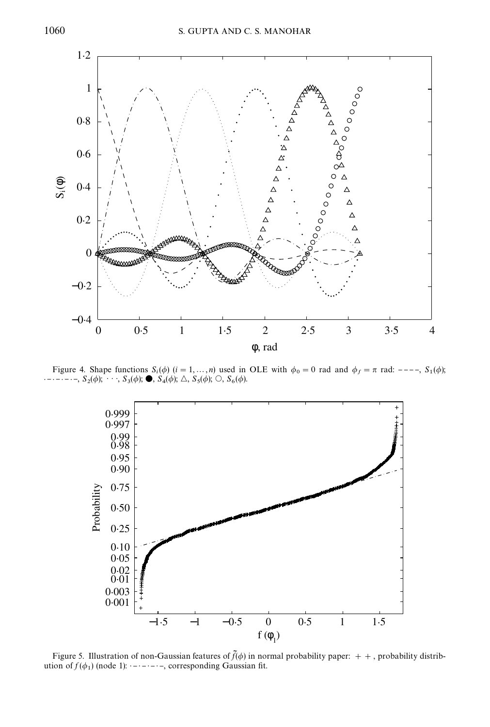

Figure 4. Shape functions  $S_i(\phi)$   $(i = 1, ..., n)$  used in OLE with  $\phi_0 = 0$  rad and  $\phi_f = \pi$  rad: ----,  $S_1(\phi)$ ; ------,  $S_2(\phi)$ ;  $\cdots$ ,  $S_3(\phi)$ ;  $\bullet$ ,  $S_4(\phi)$ ;  $\triangle$ ,  $S_5(\phi)$ ;  $\bigcirc$ ,  $S_6(\phi)$ .



Figure 5. Illustration of non-Gaussian features of  $\tilde{f}(\phi)$  in normal probability paper: + +, probability distribution of  $f(\phi_1)$  (node 1):  $-\cdots$ , corresponding Gaussian fit.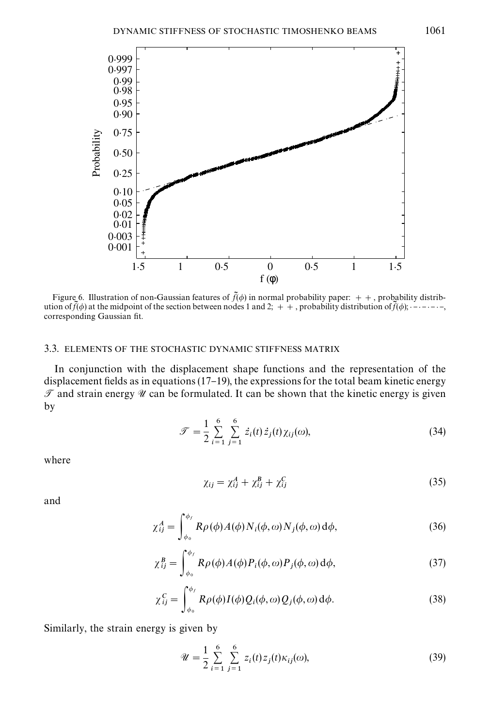

Figure 6. Illustration of non-Gaussian features of  $\tilde{f}(\phi)$  in normal probability paper: ++, probability distribution of  $\tilde{J}(\phi)$  at the midpoint of the section between nodes 1 and 2;  $+$ , probability distribution of  $\tilde{J}(\phi)$ ;  $-$  -----, corresponding Gaussian fit.

## 3.3. ELEMENTS OF THE STOCHASTIC DYNAMIC STIFFNESS MATRIX

In conjunction with the displacement shape functions and the representation of the displacement fields as in equations  $(17-19)$ , the expressions for the total beam kinetic energy  $\mathcal{T}$  and strain energy  $\mathcal{U}$  can be formulated. It can be shown that the kinetic energy is given by

$$
\mathcal{F} = \frac{1}{2} \sum_{i=1}^{6} \sum_{j=1}^{6} \dot{z}_i(t) \dot{z}_j(t) \chi_{ij}(\omega), \tag{34}
$$

where

$$
\chi_{ij} = \chi_{ij}^A + \chi_{ij}^B + \chi_{ij}^C \tag{35}
$$

and

$$
\chi_{ij}^A = \int_{\phi_0}^{\phi_f} R\rho(\phi) A(\phi) N_i(\phi, \omega) N_j(\phi, \omega) d\phi, \tag{36}
$$

$$
\chi_{ij}^{B} = \int_{\phi_0}^{\phi_f} R\rho(\phi) A(\phi) P_i(\phi, \omega) P_j(\phi, \omega) d\phi,
$$
\n(37)

$$
\chi_{ij}^C = \int_{\phi_0}^{\phi_f} R\rho(\phi) I(\phi) Q_i(\phi, \omega) Q_j(\phi, \omega) d\phi.
$$
 (38)

Similarly, the strain energy is given by

$$
\mathscr{U} = \frac{1}{2} \sum_{i=1}^{6} \sum_{j=1}^{6} z_i(t) z_j(t) \kappa_{ij}(\omega), \tag{39}
$$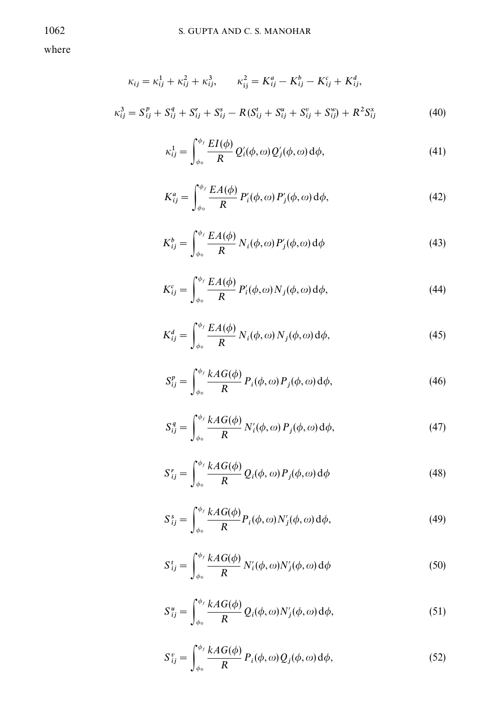where

$$
\kappa_{ij} = \kappa_{ij}^1 + \kappa_{ij}^2 + \kappa_{ij}^3, \qquad \kappa_{ij}^2 = K_{ij}^a - K_{ij}^b - K_{ij}^c + K_{ij}^d,
$$
  

$$
\kappa_{ij}^3 = S_{ij}^p + S_{ij}^q + S_{ij}^r + S_{ij}^s - R(S_{ij}^t + S_{ij}^u + S_{ij}^v + S_{ij}^w) + R^2 S_{ij}^x
$$
 (40)

$$
\kappa_{ij}^1 = \int_{\phi_0}^{\phi_f} \frac{EI(\phi)}{R} Q_i'(\phi, \omega) Q_j'(\phi, \omega) d\phi,
$$
\n(41)

$$
K_{ij}^a = \int_{\phi_0}^{\phi_f} \frac{EA(\phi)}{R} P_i'(\phi, \omega) P_j'(\phi, \omega) d\phi,
$$
 (42)

$$
K_{ij}^{b} = \int_{\phi_0}^{\phi_f} \frac{EA(\phi)}{R} N_i(\phi, \omega) P_j(\phi, \omega) d\phi
$$
 (43)

$$
K_{ij}^c = \int_{\phi_o}^{\phi_f} \frac{EA(\phi)}{R} P_i'(\phi, \omega) N_j(\phi, \omega) d\phi,
$$
 (44)

$$
K_{ij}^d = \int_{\phi_0}^{\phi_f} \frac{EA(\phi)}{R} N_i(\phi, \omega) N_j(\phi, \omega) d\phi,
$$
 (45)

$$
S_{ij}^{p} = \int_{\phi_0}^{\phi_f} \frac{k A G(\phi)}{R} P_i(\phi, \omega) P_j(\phi, \omega) d\phi,
$$
 (46)

$$
S_{ij}^q = \int_{\phi_0}^{\phi_f} \frac{kAG(\phi)}{R} N_i'(\phi, \omega) P_j(\phi, \omega) d\phi,
$$
 (47)

$$
S_{ij}^r = \int_{\phi_0}^{\phi_f} \frac{k A G(\phi)}{R} Q_i(\phi, \omega) P_j(\phi, \omega) d\phi
$$
 (48)

$$
S_{ij}^s = \int_{\phi_0}^{\phi_f} \frac{kAG(\phi)}{R} P_i(\phi, \omega) N_j'(\phi, \omega) d\phi,
$$
 (49)

$$
S_{ij}^t = \int_{\phi_0}^{\phi_f} \frac{k A G(\phi)}{R} N_i'(\phi, \omega) N_j'(\phi, \omega) d\phi
$$
 (50)

$$
S_{ij}^{u} = \int_{\phi_0}^{\phi_f} \frac{k A G(\phi)}{R} Q_i(\phi, \omega) N_j'(\phi, \omega) d\phi,
$$
 (51)

$$
S_{ij}^v = \int_{\phi_0}^{\phi_f} \frac{k A G(\phi)}{R} P_i(\phi, \omega) Q_j(\phi, \omega) d\phi,
$$
 (52)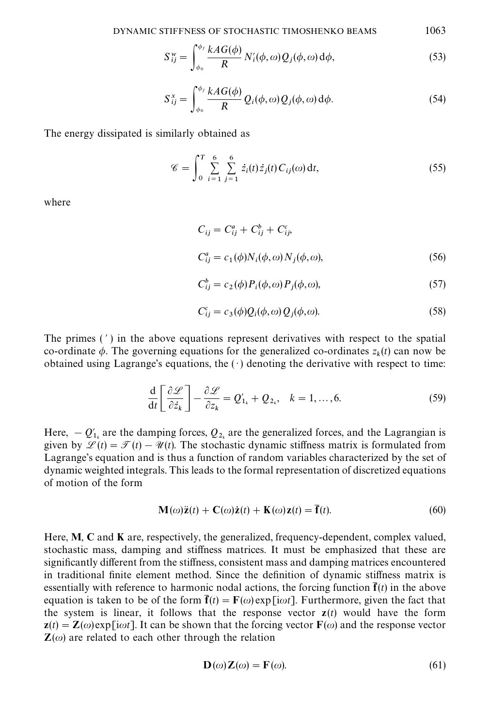$$
S_{ij}^{\mathbf{w}} = \int_{\phi_0}^{\phi_f} \frac{k A G(\phi)}{R} N_i'(\phi, \omega) Q_j(\phi, \omega) d\phi, \tag{53}
$$

$$
S_{ij}^{x} = \int_{\phi_0}^{\phi_f} \frac{kAG(\phi)}{R} Q_i(\phi, \omega) Q_j(\phi, \omega) d\phi.
$$
 (54)

The energy dissipated is similarly obtained as

$$
\mathscr{C} = \int_0^T \sum_{i=1}^6 \sum_{j=1}^6 \dot{z}_i(t) \dot{z}_j(t) C_{ij}(\omega) dt, \qquad (55)
$$

where

$$
C_{ij} = C_{ij}^a + C_{ij}^b + C_{ij}^c,
$$
  
\n
$$
C_{ij}^a = c_1(\phi)N_i(\phi, \omega)N_j(\phi, \omega),
$$
\n(56)

$$
C_{ij}^{b} = c_2(\phi) P_i(\phi, \omega) P_j(\phi, \omega), \qquad (57)
$$

$$
C_{ij}^c = c_3(\phi)Q_i(\phi,\omega)Q_j(\phi,\omega).
$$
\n(58)

The primes  $(')$  in the above equations represent derivatives with respect to the spatial co-ordinate  $\phi$ . The governing equations for the generalized co-ordinates  $z_k(t)$  can now be obtained using Lagrange's equations, the  $( \cdot )$  denoting the derivative with respect to time:

$$
\frac{\mathrm{d}}{\mathrm{d}t} \left[ \frac{\partial \mathcal{L}}{\partial \dot{z}_k} \right] - \frac{\partial \mathcal{L}}{\partial z_k} = Q'_{1_k} + Q_{2_k}, \quad k = 1, ..., 6. \tag{59}
$$

Here,  $-Q'_{1k}$  are the damping forces,  $Q_{2k}$  are the generalized forces, and the Lagrangian is given by  $\mathscr{L}(t) = \mathscr{T}(t) - \mathscr{U}(t)$ . The stochastic dynamic stiffness matrix is formulated from Lagrange's equation and is thus a function of random variables characterized by the set of dynamic weighted integrals. This leads to the formal representation of discretized equations of motion of the form

$$
\mathbf{M}(\omega)\ddot{\mathbf{z}}(t) + \mathbf{C}(\omega)\dot{\mathbf{z}}(t) + \mathbf{K}(\omega)\mathbf{z}(t) = \overline{\mathbf{f}}(t).
$$
 (60)

Here, M, C and K are, respectively, the generalized, frequency-dependent, complex valued, stochastic mass, damping and stiffness matrices. It must be emphasized that these are significantly different from the stiffness, consistent mass and damping matrices encountered in traditional finite element method. Since the definition of dynamic stiffness matrix is essentially with reference to harmonic nodal actions, the forcing function  $\mathbf{f}(t)$  in the above equation is taken to be of the form  $\mathbf{f}(t) = \mathbf{F}(\omega)$ exp[i $\omega t$ ]. Furthermore, given the fact that the system is linear, it follows that the response vector  $z(t)$  would have the form  $z(t) = Z(\omega)$ exp[i $\omega t$ ]. It can be shown that the forcing vector  $F(\omega)$  and the response vector  $\mathbf{Z}(\omega)$  are related to each other through the relation

$$
\mathbf{D}(\omega)\mathbf{Z}(\omega) = \mathbf{F}(\omega). \tag{61}
$$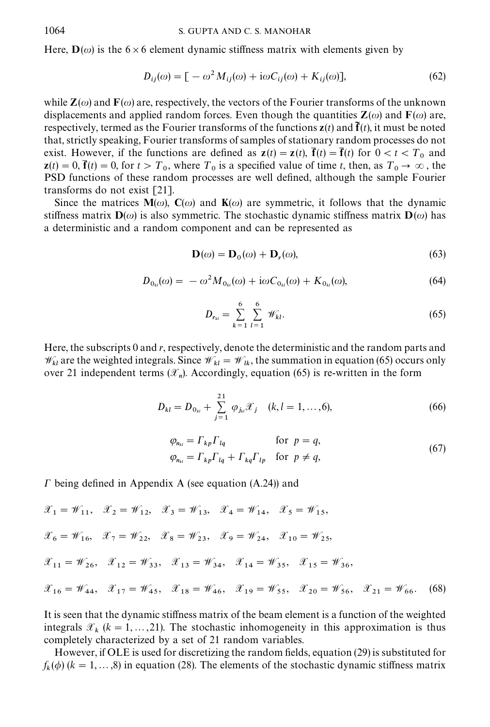Here,  $\mathbf{D}(\omega)$  is the 6 × 6 element dynamic stiffness matrix with elements given by

$$
D_{ij}(\omega) = \left[ -\omega^2 M_{ij}(\omega) + i\omega C_{ij}(\omega) + K_{ij}(\omega) \right],\tag{62}
$$

while  $\mathbf{Z}(\omega)$  and  $\mathbf{F}(\omega)$  are, respectively, the vectors of the Fourier transforms of the unknown displacements and applied random forces. Even though the quantities  $\mathbf{Z}(\omega)$  and  $\mathbf{F}(\omega)$  are, respectively, termed as the Fourier transforms of the functions  $z(t)$  and  $\tilde{f}(t)$ , it must be noted that, strictly speaking, Fourier transforms of samples of stationary random processes do not exist. However, if the functions are defined as  $z(t) = z(t)$ ,  $\bar{f}(t) = \bar{f}(t)$  for  $0 < t < T_0$  and  $z(t) = 0$ ,  $\bar{f}(t) = 0$ , for  $t > T_0$ , where  $T_0$  is a specified value of time t, then, as  $T_0 \rightarrow \infty$ , then PSD functions of these random processes are well defined, although the sample Fourier transforms do not exist [21].

Since the matrices  $\mathbf{M}(\omega)$ ,  $\mathbf{C}(\omega)$  and  $\mathbf{K}(\omega)$  are symmetric, it follows that the dynamic stiffness matrix  $\mathbf{D}(\omega)$  is also symmetric. The stochastic dynamic stiffness matrix  $\mathbf{D}(\omega)$  has a deterministic and a random component and can be represented as

$$
\mathbf{D}(\omega) = \mathbf{D}_0(\omega) + \mathbf{D}_r(\omega),\tag{63}
$$

$$
D_{0_{kl}}(\omega) = -\omega^2 M_{0_{kl}}(\omega) + i\omega C_{0_{kl}}(\omega) + K_{0_{kl}}(\omega),
$$
\n(64)

$$
D_{r_{kl}} = \sum_{k=1}^{6} \sum_{l=1}^{6} \mathcal{W}_{kl}.
$$
 (65)

Here, the subscripts 0 and r, respectively, denote the deterministic and the random parts and  $\mathcal{W}_{kl}$  are the weighted integrals. Since  $\mathcal{W}_{kl} = \mathcal{W}_{lk}$ , the summation in equation (65) occurs only over 21 independent terms  $(\mathscr{X}_n)$ . Accordingly, equation (65) is re-written in the form

$$
D_{kl} = D_{0_{kl}} + \sum_{j=1}^{21} \varphi_{j_{kl}} \mathcal{X}_j \quad (k, l = 1, ..., 6),
$$
 (66)

$$
\varphi_{n_{kl}} = \Gamma_{kp} \Gamma_{lq} \quad \text{for } p = q,
$$
\n
$$
\varphi_{n_{kl}} = \Gamma_{kp} \Gamma_{lq} + \Gamma_{kq} \Gamma_{lp} \quad \text{for } p \neq q,
$$
\n(67)

 $\Gamma$  being defined in Appendix A (see equation (A.24)) and

$$
\mathcal{X}_1 = \mathcal{W}_{11}, \quad \mathcal{X}_2 = \mathcal{W}_{12}, \quad \mathcal{X}_3 = \mathcal{W}_{13}, \quad \mathcal{X}_4 = \mathcal{W}_{14}, \quad \mathcal{X}_5 = \mathcal{W}_{15},
$$
\n
$$
\mathcal{X}_6 = \mathcal{W}_{16}, \quad \mathcal{X}_7 = \mathcal{W}_{22}, \quad \mathcal{X}_8 = \mathcal{W}_{23}, \quad \mathcal{X}_9 = \mathcal{W}_{24}, \quad \mathcal{X}_{10} = \mathcal{W}_{25},
$$
\n
$$
\mathcal{X}_{11} = \mathcal{W}_{26}, \quad \mathcal{X}_{12} = \mathcal{W}_{33}, \quad \mathcal{X}_{13} = \mathcal{W}_{34}, \quad \mathcal{X}_{14} = \mathcal{W}_{35}, \quad \mathcal{X}_{15} = \mathcal{W}_{36},
$$
\n
$$
\mathcal{X}_{16} = \mathcal{W}_{44}, \quad \mathcal{X}_{17} = \mathcal{W}_{45}, \quad \mathcal{X}_{18} = \mathcal{W}_{46}, \quad \mathcal{X}_{19} = \mathcal{W}_{55}, \quad \mathcal{X}_{20} = \mathcal{W}_{56}, \quad \mathcal{X}_{21} = \mathcal{W}_{66}. \tag{68}
$$

It is seen that the dynamic stiffness matrix of the beam element is a function of the weighted integrals  $\mathcal{X}_k$  ( $k = 1, ..., 21$ ). The stochastic inhomogeneity in this approximation is thus completely characterized by a set of 21 random variables.

However, if OLE is used for discretizing the random fields, equation (29) is substituted for  $f_k(\phi)$  ( $k = 1, ..., 8$ ) in equation (28). The elements of the stochastic dynamic stiffness matrix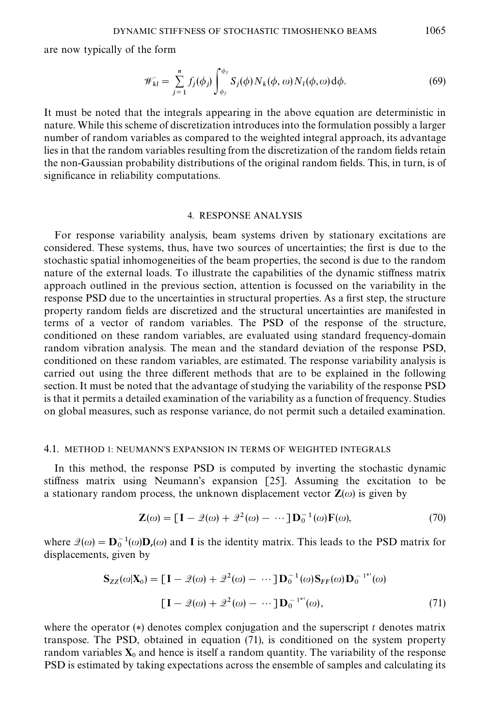are now typically of the form

$$
\mathscr{W}_{kl} = \sum_{j=1}^{n} f_j(\phi_j) \int_{\phi_f}^{\phi_f} S_j(\phi) N_k(\phi, \omega) N_l(\phi, \omega) d\phi.
$$
 (69)

It must be noted that the integrals appearing in the above equation are deterministic in nature. While this scheme of discretization introduces into the formulation possibly a larger number of random variables as compared to the weighted integral approach, its advantage lies in that the random variables resulting from the discretization of the random fields retain the non-Gaussian probability distributions of the original random fields. This, in turn, is of significance in reliability computations.

#### 4. RESPONSE ANALYSIS

For response variability analysis, beam systems driven by stationary excitations are considered. These systems, thus, have two sources of uncertainties; the first is due to the stochastic spatial inhomogeneities of the beam properties, the second is due to the random nature of the external loads. To illustrate the capabilities of the dynamic stiffness matrix approach outlined in the previous section, attention is focussed on the variability in the response PSD due to the uncertainties in structural properties. As a first step, the structure property random "elds are discretized and the structural uncertainties are manifested in terms of a vector of random variables. The PSD of the response of the structure, conditioned on these random variables, are evaluated using standard frequency-domain random vibration analysis. The mean and the standard deviation of the response PSD, conditioned on these random variables, are estimated. The response variability analysis is carried out using the three different methods that are to be explained in the following section. It must be noted that the advantage of studying the variability of the response PSD is that it permits a detailed examination of the variability as a function of frequency. Studies on global measures, such as response variance, do not permit such a detailed examination.

#### 4.1. METHOD 1: NEUMANN'S EXPANSION IN TERMS OF WEIGHTED INTEGRALS

In this method, the response PSD is computed by inverting the stochastic dynamic stiffness matrix using Neumann's expansion  $[25]$ . Assuming the excitation to be a stationary random process, the unknown displacement vector  $\mathbf{Z}(\omega)$  is given by

$$
\mathbf{Z}(\omega) = \left[\mathbf{I} - \mathcal{Q}(\omega) + \mathcal{Q}^2(\omega) - \cdots\right] \mathbf{D}_0^{-1}(\omega) \mathbf{F}(\omega),\tag{70}
$$

where  $\mathcal{Q}(\omega) = \mathbf{D}_0^{-1}(\omega)\mathbf{D}_r(\omega)$  and I is the identity matrix. This leads to the PSD matrix for displacements, given by

$$
\mathbf{S}_{ZZ}(\omega|\mathbf{X}_0) = [\mathbf{I} - \mathcal{Q}(\omega) + \mathcal{Z}^2(\omega) - \cdots] \mathbf{D}_0^{-1}(\omega) \mathbf{S}_{FF}(\omega) \mathbf{D}_0^{-1^{**}}(\omega)
$$

$$
[\mathbf{I} - \mathcal{Q}(\omega) + \mathcal{Z}^2(\omega) - \cdots] \mathbf{D}_0^{-1^{**}}(\omega), \tag{71}
$$

where the operator  $(*)$  denotes complex conjugation and the superscript t denotes matrix transpose. The PSD, obtained in equation (71), is conditioned on the systemproperty random variables  $X_0$  and hence is itself a random quantity. The variability of the response PSD is estimated by taking expectations across the ensemble of samples and calculating its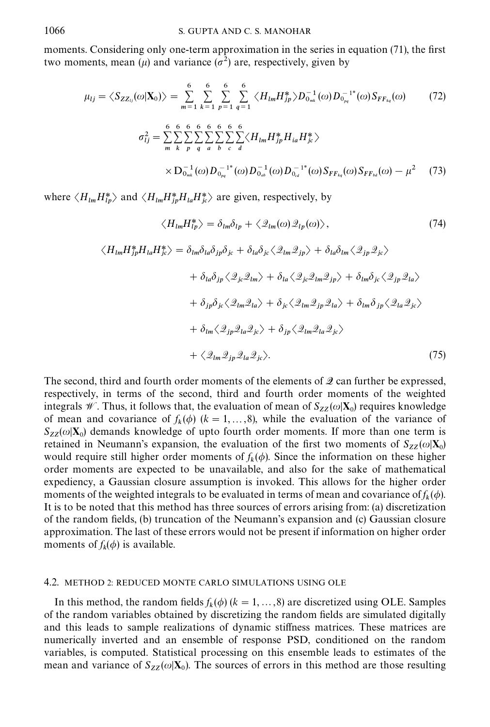moments. Considering only one-term approximation in the series in equation (71), the first two moments, mean ( $\mu$ ) and variance ( $\sigma^2$ ) are, respectively, given by

$$
\mu_{lj} = \langle S_{ZZ_{ij}}(\omega | \mathbf{X}_{0}) \rangle = \sum_{m=1}^{6} \sum_{k=1}^{6} \sum_{p=1}^{6} \sum_{q=1}^{6} \langle H_{lm} H_{jp}^{*} \rangle D_{0_{mk}}^{-1}(\omega) D_{0_{pq}}^{-1^{*}}(\omega) S_{FF_{kq}}(\omega)
$$
(72)  

$$
\sigma_{lj}^{2} = \sum_{m}^{6} \sum_{k}^{6} \sum_{p}^{6} \sum_{q}^{6} \sum_{b}^{6} \sum_{c}^{6} \langle H_{lm} H_{jp}^{*} H_{ia} H_{jc}^{*} \rangle
$$

$$
\times D_{0_{mk}}^{-1}(\omega) D_{0_{pq}}^{-1^{*}}(\omega) D_{0_{m}}^{-1}(\omega) D_{0_{m}}^{-1^{*}}(\omega) S_{FF_{kq}}(\omega) S_{FF_{bd}}(\omega) - \mu^{2}
$$
(73)

where  $\langle H_{lm} H_{lp}^* \rangle$  and  $\langle H_{lm} H_{jp}^* H_{la} H_{jc}^* \rangle$  are given, respectively, by

$$
\langle H_{lm} H_{lp}^* \rangle = \delta_{lm} \delta_{lp} + \langle \mathcal{Q}_{lm}(\omega) \mathcal{Q}_{lp}(\omega) \rangle, \qquad (74)
$$
  

$$
\langle H_{lm} H_{jp}^* H_{la} H_{jc}^* \rangle = \delta_{lm} \delta_{la} \delta_{jp} \delta_{jc} + \delta_{la} \delta_{jc} \langle \mathcal{Q}_{lm} \mathcal{Q}_{jp} \rangle + \delta_{la} \delta_{lm} \langle \mathcal{Q}_{jp} \mathcal{Q}_{jc} \rangle
$$
  

$$
+ \delta_{la} \delta_{jp} \langle \mathcal{Q}_{jc} \mathcal{Q}_{lm} \rangle + \delta_{la} \langle \mathcal{Q}_{jc} \mathcal{Q}_{lm} \mathcal{Q}_{jp} \rangle + \delta_{lm} \delta_{jc} \langle \mathcal{Q}_{jp} \mathcal{Q}_{la} \rangle
$$
  

$$
+ \delta_{jp} \delta_{jc} \langle \mathcal{Q}_{lm} \mathcal{Q}_{la} \rangle + \delta_{jc} \langle \mathcal{Q}_{lm} \mathcal{Q}_{jp} \mathcal{Q}_{la} \rangle + \delta_{lm} \delta_{jp} \langle \mathcal{Q}_{la} \mathcal{Q}_{jc} \rangle
$$
  

$$
+ \delta_{lm} \langle \mathcal{Q}_{jp} \mathcal{Q}_{la} \mathcal{Q}_{jc} \rangle + \delta_{jp} \langle \mathcal{Q}_{lm} \mathcal{Q}_{la} \mathcal{Q}_{jc} \rangle
$$
  

$$
+ \langle \mathcal{Q}_{lm} \mathcal{Q}_{jp} \mathcal{Q}_{la} \mathcal{Q}_{jc} \rangle. \qquad (75)
$$

The second, third and fourth order moments of the elements of **Q** can further be expressed, respectively, in terms of the second, third and fourth order moments of the weighted integrals *W*. Thus, it follows that, the evaluation of mean of  $S_{ZZ}(\omega|\mathbf{X}_0)$  requires knowledge of mean and covariance of  $f_k(\phi)$  ( $k = 1, ..., 8$ ), while the evaluation of the variance of  $S_{ZZ}(\omega|\mathbf{X}_0)$  demands knowledge of upto fourth order moments. If more than one term is retained in Neumann's expansion, the evaluation of the first two moments of  $S_{ZZ}(\omega|\mathbf{X}_0)$ would require still higher order moments of  $f_k(\phi)$ . Since the information on these higher order moments are expected to be unavailable, and also for the sake of mathematical expediency, a Gaussian closure assumption is invoked. This allows for the higher order moments of the weighted integrals to be evaluated in terms of mean and covariance of  $f_k(\phi)$ . It is to be noted that this method has three sources of errors arising from: (a) discretization of the random "elds, (b) truncation of the Neumann's expansion and (c) Gaussian closure approximation. The last of these errors would not be present if information on higher order moments of  $f_k(\phi)$  is available.

## 4.2. METHOD 2: REDUCED MONTE CARLO SIMULATIONS USING OLE

In this method, the random fields  $f_k(\phi)$  ( $k = 1, ..., 8$ ) are discretized using OLE. Samples of the random variables obtained by discretizing the random fields are simulated digitally and this leads to sample realizations of dynamic stiffness matrices. These matrices are numerically inverted and an ensemble of response PSD, conditioned on the random variables, is computed. Statistical processing on this ensemble leads to estimates of the mean and variance of  $S_{ZZ}(\omega|\mathbf{X}_0)$ . The sources of errors in this method are those resulting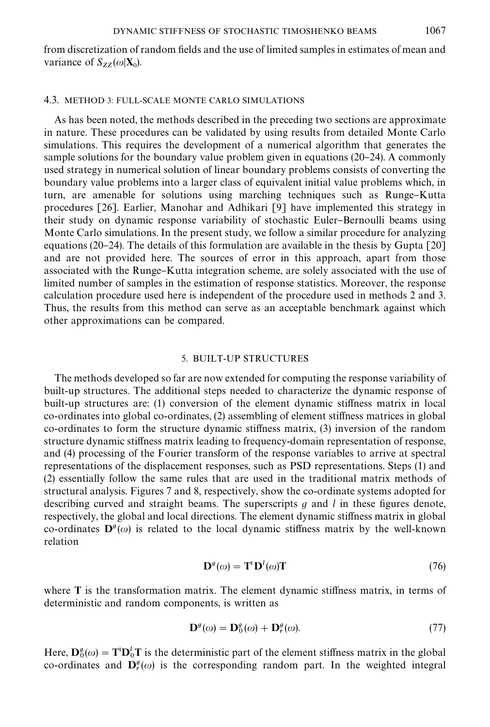from discretization of random fields and the use of limited samples in estimates of mean and variance of  $S_{ZZ}(\omega|\mathbf{X}_0)$ .

## 4.3. METHOD 3: FULL-SCALE MONTE CARLO SIMULATIONS

As has been noted, the methods described in the preceding two sections are approximate in nature. These procedures can be validated by using results fromdetailed Monte Carlo simulations. This requires the development of a numerical algorithm that generates the sample solutions for the boundary value problem given in equations  $(20-24)$ . A commonly used strategy in numerical solution of linear boundary problems consists of converting the boundary value problems into a larger class of equivalent initial value problems which, in turn, are amenable for solutions using marching techniques such as Runge–Kutta procedures [26]. Earlier, Manohar and Adhikari [9] have implemented this strategy in their study on dynamic response variability of stochastic Euler-Bernoulli beams using Monte Carlo simulations. In the present study, we follow a similar procedure for analyzing equations (20–24). The details of this formulation are available in the thesis by Gupta  $[20]$ and are not provided here. The sources of error in this approach, apart from those associated with the Runge–Kutta integration scheme, are solely associated with the use of limited number of samples in the estimation of response statistics. Moreover, the response calculation procedure used here is independent of the procedure used in methods 2 and 3. Thus, the results from this method can serve as an acceptable benchmark against which other approximations can be compared.

#### 5. BUILT-UP STRUCTURES

The methods developed so far are now extended for computing the response variability of built-up structures. The additional steps needed to characterize the dynamic response of built-up structures are: (1) conversion of the element dynamic stiffness matrix in local  $co-ordinates$  into global  $co-ordinates$ ,  $(2)$  assembling of element stiffness matrices in global co-ordinates to form the structure dynamic stiffness matrix,  $(3)$  inversion of the random structure dynamic stiffness matrix leading to frequency-domain representation of response, and (4) processing of the Fourier transformof the response variables to arrive at spectral representations of the displacement responses, such as PSD representations. Steps (1) and (2) essentially follow the same rules that are used in the traditional matrix methods of structural analysis. Figures 7 and 8, respectively, show the co-ordinate systems adopted for describing curved and straight beams. The superscripts  $g$  and  $l$  in these figures denote, respectively, the global and local directions. The element dynamic stiffness matrix in global co-ordinates  $\mathbf{D}^g(\omega)$  is related to the local dynamic stiffness matrix by the well-known relation

$$
\mathbf{D}^{g}(\omega) = \mathbf{T}^{\mathrm{t}} \mathbf{D}^{l}(\omega) \mathbf{T} \tag{76}
$$

where  $T$  is the transformation matrix. The element dynamic stiffness matrix, in terms of deterministic and random components, is written as

$$
\mathbf{D}^{g}(\omega) = \mathbf{D}_{0}^{g}(\omega) + \mathbf{D}_{r}^{g}(\omega).
$$
 (77)

Here,  $\mathbf{D}_0^g(\omega) = \mathbf{T}^t \mathbf{D}_0^t \mathbf{T}$  is the deterministic part of the element stiffness matrix in the global co-ordinates and  $\mathbf{D}_r^g(\omega)$  is the corresponding random part. In the weighted integral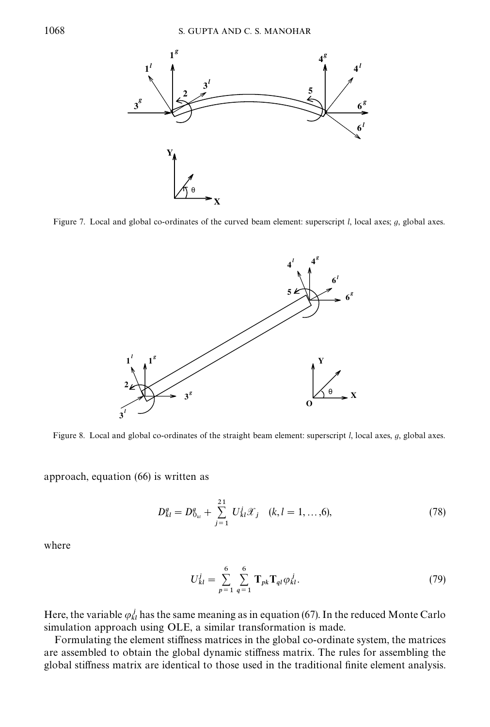

Figure 7. Local and global co-ordinates of the curved beam element: superscript  $l$ , local axes;  $q$ , global axes.



Figure 8. Local and global co-ordinates of the straight beam element: superscript  $l$ , local axes,  $g$ , global axes.

approach, equation (66) is written as

$$
D_{kl}^{g} = D_{0_{kl}}^{g} + \sum_{j=1}^{21} U_{kl}^{j} \mathcal{X}_{j} \quad (k, l = 1, ..., 6),
$$
 (78)

where

$$
U_{kl}^{j} = \sum_{p=1}^{6} \sum_{q=1}^{6} \mathbf{T}_{pk} \mathbf{T}_{ql} \varphi_{kl}^{j}.
$$
 (79)

Here, the variable  $\varphi_{kl}^j$  has the same meaning as in equation (67). In the reduced Monte Carlo simulation approach using OLE, a similar transformation is made.

Formulating the element stiffness matrices in the global co-ordinate system, the matrices are assembled to obtain the global dynamic stiffness matrix. The rules for assembling the global stiffness matrix are identical to those used in the traditional finite element analysis.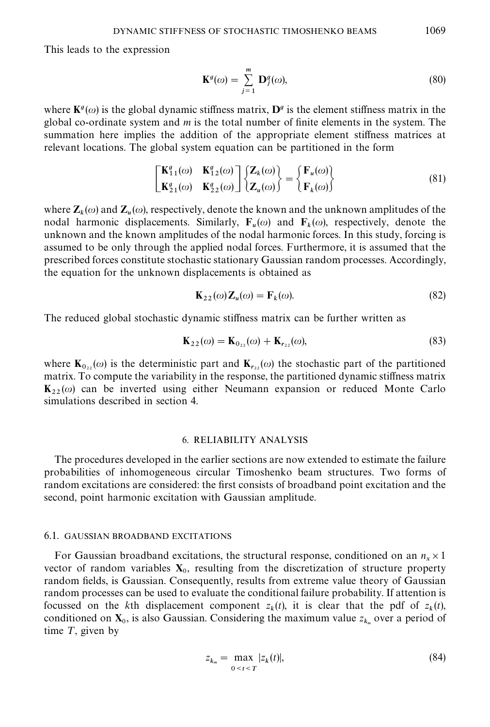This leads to the expression

$$
\mathbf{K}^g(\omega) = \sum_{j=1}^m \mathbf{D}_j^g(\omega),\tag{80}
$$

where  $\mathbf{K}^{\mathfrak{g}}(\omega)$  is the global dynamic stiffness matrix,  $\mathbf{D}^{\mathfrak{g}}$  is the element stiffness matrix in the global co-ordinate system and  $m$  is the total number of finite elements in the system. The summation here implies the addition of the appropriate element stiffness matrices at relevant locations. The global systemequation can be partitioned in the form

$$
\begin{bmatrix} \mathbf{K}_{11}^g(\omega) & \mathbf{K}_{12}^g(\omega) \\ \mathbf{K}_{21}^g(\omega) & \mathbf{K}_{22}^g(\omega) \end{bmatrix} \begin{Bmatrix} \mathbf{Z}_k(\omega) \\ \mathbf{Z}_u(\omega) \end{Bmatrix} = \begin{Bmatrix} \mathbf{F}_u(\omega) \\ \mathbf{F}_k(\omega) \end{Bmatrix}
$$
(81)

where  $\mathbf{Z}_k(\omega)$  and  $\mathbf{Z}_u(\omega)$ , respectively, denote the known and the unknown amplitudes of the nodal harmonic displacements. Similarly,  $F_u(\omega)$  and  $F_k(\omega)$ , respectively, denote the unknown and the known amplitudes of the nodal harmonic forces. In this study, forcing is assumed to be only through the applied nodal forces. Furthermore, it is assumed that the prescribed forces constitute stochastic stationary Gaussian randomprocesses. Accordingly, the equation for the unknown displacements is obtained as

$$
\mathbf{K}_{22}(\omega)\mathbf{Z}_{u}(\omega) = \mathbf{F}_{k}(\omega). \tag{82}
$$

The reduced global stochastic dynamic stiffness matrix can be further written as

$$
\mathbf{K}_{22}(\omega) = \mathbf{K}_{0_{22}}(\omega) + \mathbf{K}_{r_{22}}(\omega),
$$
\n(83)

where  $\mathbf{K}_{0_{22}}(\omega)$  is the deterministic part and  $\mathbf{K}_{r_{22}}(\omega)$  the stochastic part of the partitioned matrix. To compute the variability in the response, the partitioned dynamic stiffness matrix  $K_{22}(\omega)$  can be inverted using either Neumann expansion or reduced Monte Carlo simulations described in section 4.

## 6. RELIABILITY ANALYSIS

The procedures developed in the earlier sections are now extended to estimate the failure probabilities of inhomogeneous circular Timoshenko beam structures. Two forms of random excitations are considered: the first consists of broadband point excitation and the second, point harmonic excitation with Gaussian amplitude.

## 6.1. GAUSSIAN BROADBAND EXCITATIONS

For Gaussian broadband excitations, the structural response, conditioned on an  $n_x \times 1$ vector of random variables  $X_0$ , resulting from the discretization of structure property random fields, is Gaussian. Consequently, results from extreme value theory of Gaussian randomprocesses can be used to evaluate the conditional failure probability. If attention is focussed on the kth displacement component  $z_k(t)$ , it is clear that the pdf of  $z_k(t)$ , conditioned on  $X_0$ , is also Gaussian. Considering the maximum value  $z_{k_m}$  over a period of time  $T$ , given by

$$
z_{k_m} = \max_{0 \le t \le T} |z_k(t)|, \tag{84}
$$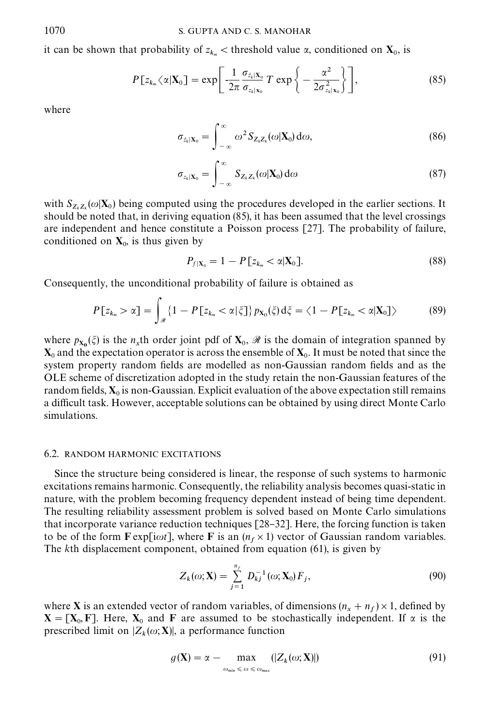it can be shown that probability of  $z_{k_m}$  < threshold value  $\alpha$ , conditioned on  $\mathbf{X}_0$ , is

$$
P[z_{k_m} \langle \alpha | \mathbf{X}_0] = \exp \left[ -\frac{1}{2\pi} \frac{\sigma_{\dot{z}_k | \mathbf{X}_0}}{\sigma_{z_k | \mathbf{X}_0}} T \exp \left\{ -\frac{\alpha^2}{2\sigma_{z_k | \mathbf{X}_0}^2} \right\} \right],
$$
(85)

where

$$
\sigma_{\dot{z}_k|\mathbf{X}_0} = \int_{-\infty}^{\infty} \omega^2 S_{Z_k Z_k}(\omega|\mathbf{X}_0) d\omega,
$$
\n(86)

$$
\sigma_{z_k|\mathbf{X}_0} = \int_{-\infty}^{\infty} S_{Z_k Z_k}(\omega|\mathbf{X}_0) d\omega \qquad (87)
$$

with  $S_{Z_k Z_k}(\omega | \mathbf{X}_0)$  being computed using the procedures developed in the earlier sections. It should be noted that, in deriving equation (85), it has been assumed that the level crossings are independent and hence constitute a Poisson process [27]. The probability of failure, conditioned on  $X_0$ , is thus given by

$$
P_{f|\mathbf{X}_0} = 1 - P\left[z_{k_m} < \alpha|\mathbf{X}_0\right].\tag{88}
$$

Consequently, the unconditional probability of failure is obtained as

$$
P[z_{k_m} > \alpha] = \int_{\mathcal{R}} \{1 - P[z_{k_m} < \alpha | \xi]\} p_{\mathbf{X}_0}(\xi) d\xi = \langle 1 - P[z_{k_m} < \alpha | \mathbf{X}_0] \rangle \tag{89}
$$

where  $p_{\mathbf{x_0}}(\xi)$  is the n<sub>x</sub>th order joint pdf of  $\mathbf{X}_0$ ,  $\mathcal{R}$  is the domain of integration spanned by  $\mathbf{X}_0$  and the expectation operator is across the ensemble of  $\mathbf{X}_0.$  It must be noted that since the system property random fields are modelled as non-Gaussian random fields and as the OLE scheme of discretization adopted in the study retain the non-Gaussian features of the random fields,  $\mathbf{X}_0$  is non-Gaussian. Explicit evaluation of the above expectation still remains a difficult task. However, acceptable solutions can be obtained by using direct Monte Carlo simulations.

#### 6.2. RANDOM HARMONIC EXCITATIONS

Since the structure being considered is linear, the response of such systems to harmonic excitations remains harmonic. Consequently, the reliability analysis becomes quasi-static in nature, with the problem becoming frequency dependent instead of being time dependent. The resulting reliability assessment problem is solved based on Monte Carlo simulations that incorporate variance reduction techniques  $[28-32]$ . Here, the forcing function is taken to be of the form  $\mathbf{F} \exp[i\omega t]$ , where  $\mathbf{F}$  is an  $(n_f \times 1)$  vector of Gaussian random variables. The kth displacement component, obtained from equation (61), is given by

$$
Z_k(\omega; \mathbf{X}) = \sum_{j=1}^{n_f} D_{kj}^{-1}(\omega; \mathbf{X}_0) F_j,
$$
\n(90)

where **X** is an extended vector of random variables, of dimensions  $(n_x + n_f) \times 1$ , defined by  $X = [X_0, F]$ . Here,  $X_0$  and F are assumed to be stochastically independent. If  $\alpha$  is the prescribed limit on  $|Z_k(\omega; \mathbf{X})|$ , a performance function

$$
g(\mathbf{X}) = \alpha - \max_{\omega_{\min} \leq \omega \leq \omega_{\max}} (|Z_k(\omega; \mathbf{X})|)
$$
(91)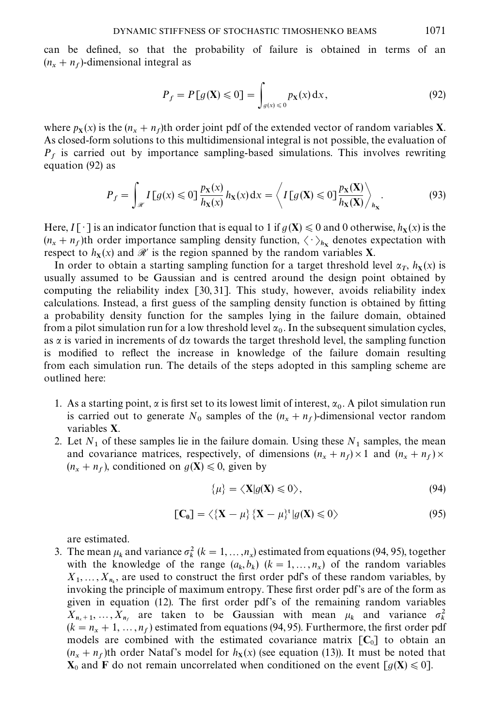can be defined, so that the probability of failure is obtained in terms of an  $(n_x + n_f)$ -dimensional integral as

$$
P_f = P[g(\mathbf{X}) \le 0] = \int_{g(x) \le 0} p_{\mathbf{X}}(x) dx, \qquad (92)
$$

where  $p_X(x)$  is the  $(n_x + n_f)$ th order joint pdf of the extended vector of random variables **X**. As closed-form solutions to this multidimensional integral is not possible, the evaluation of  $P_f$  is carried out by importance sampling-based simulations. This involves rewriting equation (92) as

$$
P_f = \int_{\mathscr{R}} I\left[g(x) \leq 0\right] \frac{p_{\mathbf{X}}(x)}{h_{\mathbf{X}}(x)} h_{\mathbf{X}}(x) dx = \left\langle I\left[g(\mathbf{X}) \leq 0\right] \frac{p_{\mathbf{X}}(\mathbf{X})}{h_{\mathbf{X}}(\mathbf{X})} \right\rangle_{h_{\mathbf{X}}}.
$$
(93)

Here,  $I[\cdot]$  is an indicator function that is equal to 1 if  $g(\mathbf{X}) \leq 0$  and 0 otherwise,  $h_{\mathbf{X}}(x)$  is the  $(n_x + n_f)$ th order importance sampling density function,  $\langle \cdot \rangle_{h_x}$  denotes expectation with respect to  $h_X(x)$  and  $\mathcal{R}'$  is the region spanned by the random variables **X**.

In order to obtain a starting sampling function for a target threshold level  $\alpha_T$ ,  $h_X(x)$  is usually assumed to be Gaussian and is centred around the design point obtained by computing the reliability index [30,31]. This study, however, avoids reliability index calculations. Instead, a first guess of the sampling density function is obtained by fitting a probability density function for the samples lying in the failure domain, obtained from a pilot simulation run for a low threshold level  $\alpha_0$ . In the subsequent simulation cycles, as  $\alpha$  is varied in increments of d $\alpha$  towards the target threshold level, the sampling function is modified to reflect the increase in knowledge of the failure domain resulting from each simulation run. The details of the steps adopted in this sampling scheme are outlined here:

- 1. As a starting point,  $\alpha$  is first set to its lowest limit of interest,  $\alpha_0$ . A pilot simulation run is carried out to generate  $N_0$  samples of the  $(n_x + n_f)$ -dimensional vector random variables X.
- 2. Let  $N_1$  of these samples lie in the failure domain. Using these  $N_1$  samples, the mean and covariance matrices, respectively, of dimensions  $(n_x + n_f) \times 1$  and  $(n_x + n_f) \times$  $(n_x + n_f)$ , conditioned on  $g(\mathbf{X}) \leq 0$ , given by

$$
\{\mu\} = \langle \mathbf{X} | g(\mathbf{X}) \leq 0 \rangle, \tag{94}
$$

$$
\left[\mathbf{C}_0\right] = \langle \{\mathbf{X} - \mu\}^{\dagger} \, | g(\mathbf{X}) \leq 0 \rangle \tag{95}
$$

are estimated.

3. The mean  $\mu_k$  and variance  $\sigma_k^2$  ( $k = 1, ..., n_x$ ) estimated from equations (94, 95), together with the knowledge of the range  $(a_k, b_k)$   $(k = 1, ..., n_x)$  of the random variables  $X_1, \ldots, X_{n_k}$ , are used to construct the first order pdf's of these random variables, by invoking the principle of maximum entropy. These first order pdf's are of the form as given in equation  $(12)$ . The first order pdf's of the remaining random variables  $X_{n_x+1},...,X_{n_y}$  are taken to be Gaussian with mean  $\mu_k$  and variance  $\sigma_k^2$  $(k = n_x + 1, ..., n_f)$  estimated from equations (94,95). Furthermore, the first order pdf models are combined with the estimated covariance matrix  $[C_0]$  to obtain an  $(n_x + n_f)$ th order Nataf's model for  $h_x(x)$  (see equation (13)). It must be noted that  $X_0$  and F do not remain uncorrelated when conditioned on the event  $[g(X) \le 0]$ .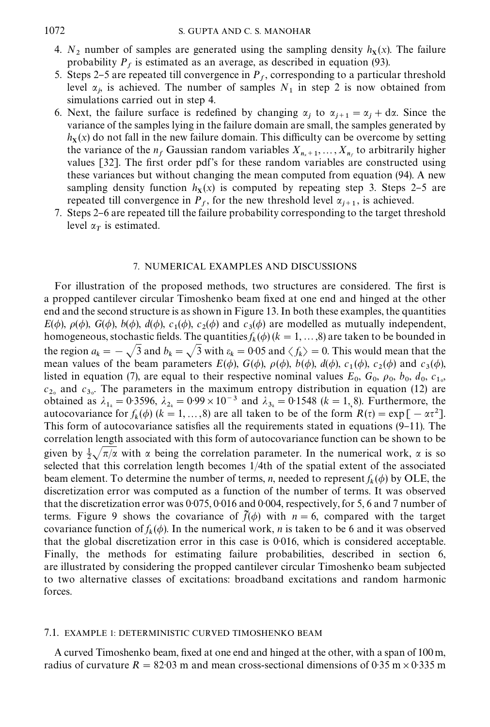- 4.  $N_2$  number of samples are generated using the sampling density  $h_X(x)$ . The failure probability  $P_f$  is estimated as an average, as described in equation (93).
- 5. Steps 2–5 are repeated till convergence in  $P_f$ , corresponding to a particular threshold level  $\alpha_j$ , is achieved. The number of samples  $N_1$  in step 2 is now obtained from simulations carried out in step 4.
- 6. Next, the failure surface is redefined by changing  $\alpha_j$  to  $\alpha_{j+1} = \alpha_j + d\alpha$ . Since the variance of the samples lying in the failure domain are small, the samples generated by  $h<sub>X</sub>(x)$  do not fall in the new failure domain. This difficulty can be overcome by setting the variance of the  $n_f$  Gaussian random variables  $X_{n_x+1},...,X_{n_f}$  to arbitrarily higher values [32]. The first order pdf's for these random variables are constructed using these variances but without changing the mean computed from equation (94). A new sampling density function  $h<sub>X</sub>(x)$  is computed by repeating step 3. Steps 2-5 are repeated till convergence in  $P_f$ , for the new threshold level  $\alpha_{j+1}$ , is achieved.
- 7. Steps 2–6 are repeated till the failure probability corresponding to the target threshold level  $\alpha_T$  is estimated.

## 7. NUMERICAL EXAMPLES AND DISCUSSIONS

For illustration of the proposed methods, two structures are considered. The first is a propped cantilever circular Timoshenko beam fixed at one end and hinged at the other end and the second structure is as shown in Figure 13. In both these examples, the quantities  $E(\phi)$ ,  $\rho(\phi)$ ,  $G(\phi)$ ,  $d(\phi)$ ,  $c_1(\phi)$ ,  $c_2(\phi)$  and  $c_3(\phi)$  are modelled as mutually independent, homogeneous, stochastic fields. The quantities  $f_k(\phi)$  ( $k = 1, ..., 8$ ) are taken to be bounded in the region  $a_k = -\sqrt{3}$  and  $b_k = \sqrt{3}$  with  $\varepsilon_k = 0.05$  and  $\langle f_k \rangle = 0$ . This would mean that the mean values of the beam parameters  $E(\phi)$ ,  $G(\phi)$ ,  $\rho(\phi)$ ,  $b(\phi)$ ,  $d(\phi)$ ,  $c_1(\phi)$ ,  $c_2(\phi)$  and  $c_3(\phi)$ , listed in equation (7), are equal to their respective nominal values  $E_0$ ,  $G_0$ ,  $\rho_0$ ,  $b_0$ ,  $d_0$ ,  $c_{10}$ ,  $c_{2_0}$  and  $c_{3_0}$ . The parameters in the maximum entropy distribution in equation (12) are obtained as  $\lambda_{1_k} = 0.3596$ ,  $\lambda_{2_k} = 0.99 \times 10^{-3}$  and  $\lambda_{3_k} = 0.1548$  (k = 1, 8). Furthermore, the autocovariance for  $f_k(\phi)$  ( $k = 1, ..., 8$ ) are all taken to be of the form  $R(\tau) = \exp[-\alpha \tau^2]$ . This form of autocovariance satisfies all the requirements stated in equations  $(9-11)$ . The correlation length associated with this formof autocovariance function can be shown to be given by  $\frac{1}{2}\sqrt{\pi/\alpha}$  with  $\alpha$  being the correlation parameter. In the numerical work,  $\alpha$  is so selected that this correlation length becomes 1/4th of the spatial extent of the associated beam element. To determine the number of terms, *n*, needed to represent  $f_k(\phi)$  by OLE, the discretization error was computed as a function of the number of terms. It was observed that the discretization error was  $0.075$ ,  $0.016$  and  $0.004$ , respectively, for 5, 6 and 7 number of terms. Figure 9 shows the covariance of  $\tilde{f}(\phi)$  with  $n = 6$ , compared with the target covariance function of  $f_k(\phi)$ . In the numerical work, *n* is taken to be 6 and it was observed that the global discretization error in this case is 0016, which is considered acceptable. Finally, the methods for estimating failure probabilities, described in section 6, are illustrated by considering the propped cantilever circular Timoshenko beam subjected to two alternative classes of excitations: broadband excitations and randomharmonic forces.

#### 7.1. EXAMPLE 1: DETERMINISTIC CURVED TIMOSHENKO BEAM

A curved Timoshenko beam, fixed at one end and hinged at the other, with a span of 100 m, radius of curvature R = 82.03 m and mean cross-sectional dimensions of 0.35 m  $\times$  0.335 m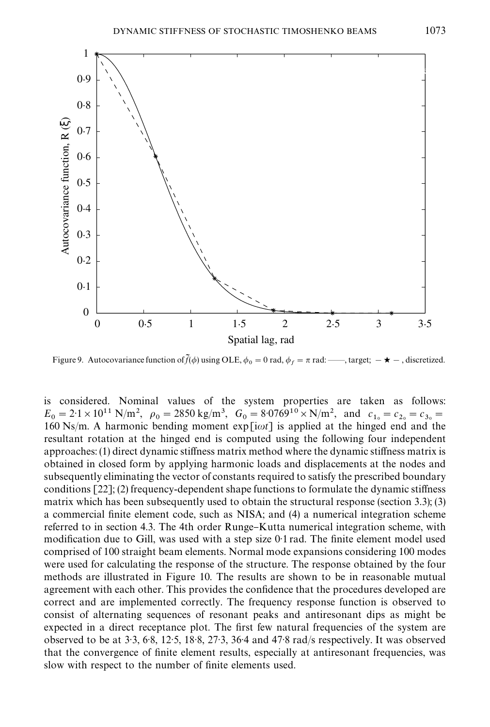

Figure 9. Autocovariance function of  $\tilde{f}(\phi)$  using OLE,  $\phi_0 = 0$  rad,  $\phi_f = \pi$  rad:  $\cdots$ , target;  $-\star$  -, discretized.

is considered. Nominal values of the system properties are taken as follows:  $E_0 = 2.1 \times 10^{11} \text{ N/m}^2$ ,  $\rho_0 = 2850 \text{ kg/m}^3$ ,  $G_0 = 8.0769^{10} \times \text{N/m}^2$ , and  $c_{1_0} = c_{2_0} = c_{3_0} =$ 160 Ns/m. A harmonic bending moment  $exp[i\omega t]$  is applied at the hinged end and the resultant rotation at the hinged end is computed using the following four independent approaches:  $(1)$  direct dynamic stiffness matrix method where the dynamic stiffness matrix is obtained in closed form by applying harmonic loads and displacements at the nodes and subsequently eliminating the vector of constants required to satisfy the prescribed boundary conditions  $[22]$ ; (2) frequency-dependent shape functions to formulate the dynamic stiffness matrix which has been subsequently used to obtain the structural response (section 3.3); (3) a commercial finite element code, such as NISA; and (4) a numerical integration scheme referred to in section 4.3. The 4th order Runge–Kutta numerical integration scheme, with modification due to Gill, was used with a step size  $0.1$  rad. The finite element model used comprised of 100 straight beam elements. Normal mode expansions considering 100 modes were used for calculating the response of the structure. The response obtained by the four methods are illustrated in Figure 10. The results are shown to be in reasonable mutual agreement with each other. This provides the confidence that the procedures developed are correct and are implemented correctly. The frequency response function is observed to consist of alternating sequences of resonant peaks and antiresonant dips as might be expected in a direct receptance plot. The first few natural frequencies of the system are observed to be at  $3.3$ ,  $6.8$ ,  $12.5$ ,  $18.8$ ,  $27.3$ ,  $36.4$  and  $47.8$  rad/s respectively. It was observed that the convergence of finite element results, especially at antiresonant frequencies, was slow with respect to the number of finite elements used.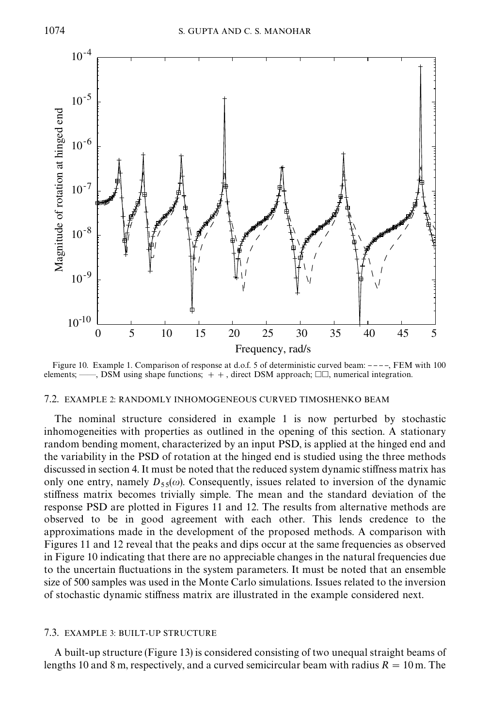

Figure 10. Example 1. Comparison of response at d.o.f. 5 of deterministic curved beam: ----, FEM with 100 elements; ——, DSM using shape functions;  $+$ , direct DSM approach;  $\Box \Box$ , numerical integration.

#### 7.2. EXAMPLE 2: RANDOMLY INHOMOGENEOUS CURVED TIMOSHENKO BEAM

The nominal structure considered in example 1 is now perturbed by stochastic inhomogeneities with properties as outlined in the opening of this section. A stationary random bending moment, characterized by an input PSD, is applied at the hinged end and the variability in the PSD of rotation at the hinged end is studied using the three methods discussed in section 4. It must be noted that the reduced system dynamic stiffness matrix has only one entry, namely  $D_{55}(\omega)$ . Consequently, issues related to inversion of the dynamic stiffness matrix becomes trivially simple. The mean and the standard deviation of the response PSD are plotted in Figures 11 and 12. The results fromalternative methods are observed to be in good agreement with each other. This lends credence to the approximations made in the development of the proposed methods. A comparison with Figures 11 and 12 reveal that the peaks and dips occur at the same frequencies as observed in Figure 10 indicating that there are no appreciable changes in the natural frequencies due to the uncertain fluctuations in the system parameters. It must be noted that an ensemble size of 500 samples was used in the Monte Carlo simulations. Issues related to the inversion of stochastic dynamic stiffness matrix are illustrated in the example considered next.

#### 7.3. EXAMPLE 3: BUILT-UP STRUCTURE

A built-up structure (Figure 13) is considered consisting of two unequal straight beams of lengths 10 and 8 m, respectively, and a curved semicircular beam with radius  $R = 10$ m. The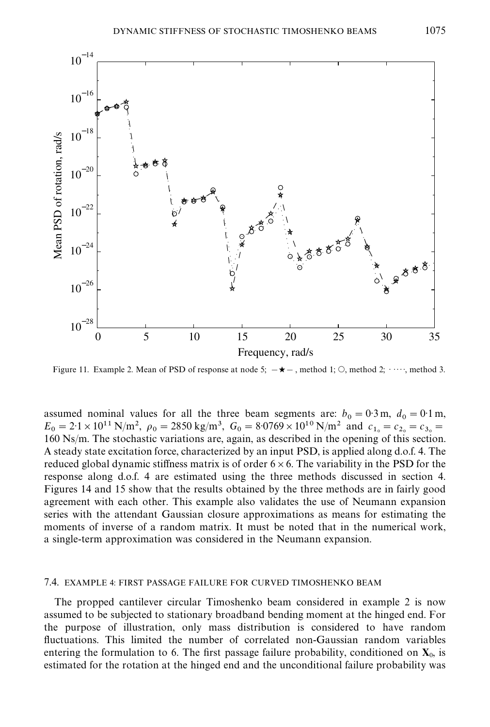

Figure 11. Example 2. Mean of PSD of response at node 5;  $-\star$  –, method 1; O, method 2;  $\cdots$ , method 3.

assumed nominal values for all the three beam segments are:  $b_0 = 0.3$  m,  $d_0 = 0.1$  m,  $E_0 = 2.1 \times 10^{11} \text{ N/m}^2$ ,  $\rho_0 = 2850 \text{ kg/m}^3$ ,  $G_0 = 8.0769 \times 10^{10} \text{ N/m}^2$  and  $c_{1_0} = c_{2_0} = c_{3_0} =$ 160 Ns/m. The stochastic variations are, again, as described in the opening of this section. A steady state excitation force, characterized by an input PSD, is applied along d.o.f. 4. The reduced global dynamic stiffness matrix is of order  $6 \times 6$ . The variability in the PSD for the response along d.o.f. 4 are estimated using the three methods discussed in section 4. Figures 14 and 15 show that the results obtained by the three methods are in fairly good agreement with each other. This example also validates the use of Neumann expansion series with the attendant Gaussian closure approximations as means for estimating the moments of inverse of a random matrix. It must be noted that in the numerical work, a single-term approximation was considered in the Neumann expansion.

## 7.4. EXAMPLE 4: FIRST PASSAGE FAILURE FOR CURVED TIMOSHENKO BEAM

The propped cantilever circular Timoshenko beam considered in example 2 is now assumed to be subjected to stationary broadband bending moment at the hinged end. For the purpose of illustration, only mass distribution is considered to have random fluctuations. This limited the number of correlated non-Gaussian random variables entering the formulation to 6. The first passage failure probability, conditioned on  $X_0$ , is estimated for the rotation at the hinged end and the unconditional failure probability was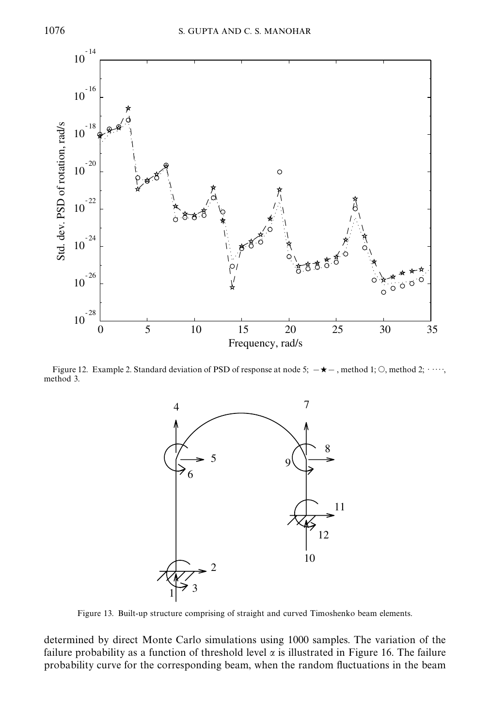

Figure 12. Example 2. Standard deviation of PSD of response at node 5;  $-\star$  –, method 1; O, method 2;  $\cdots$ , method 3.



Figure 13. Built-up structure comprising of straight and curved Timoshenko beam elements.

determined by direct Monte Carlo simulations using 1000 samples. The variation of the failure probability as a function of threshold level  $\alpha$  is illustrated in Figure 16. The failure probability curve for the corresponding beam, when the random #uctuations in the beam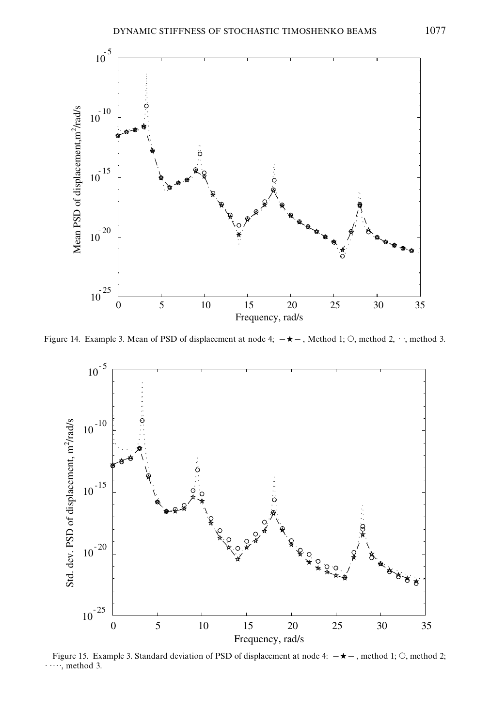

Figure 14. Example 3. Mean of PSD of displacement at node 4;  $-\star$ , Method 1; O, method 2,  $\cdot$ , method 3.



Figure 15. Example 3. Standard deviation of PSD of displacement at node 4:  $-\star$ , method 1; O, method 2;  $\cdots$ , method 3.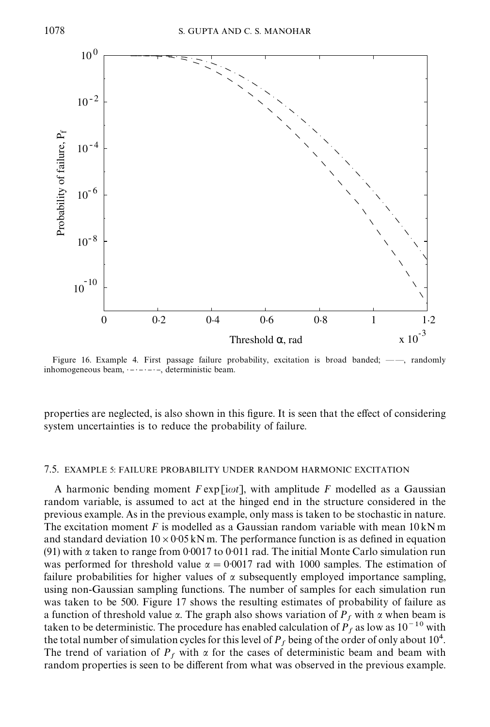

Figure 16. Example 4. First passage failure probability, excitation is broad banded;  $-\text{---}$ , randomly inhomogeneous beam,  $\dots \dots \dots$ , deterministic beam.

properties are neglected, is also shown in this figure. It is seen that the effect of considering system uncertainties is to reduce the probability of failure.

#### 7.5. EXAMPLE 5: FAILURE PROBABILITY UNDER RANDOM HARMONIC EXCITATION

A harmonic bending moment  $F \exp[i\omega t]$ , with amplitude F modelled as a Gaussian random variable, is assumed to act at the hinged end in the structure considered in the previous example. As in the previous example, only mass is taken to be stochastic in nature. The excitation moment F is modelled as a Gaussian random variable with mean  $10 \text{ kN m}$ and standard deviation  $10\times0.05$  kNm. The performance function is as defined in equation (91) with  $\alpha$  taken to range from 0.0017 to 0.011 rad. The initial Monte Carlo simulation run was performed for threshold value  $\alpha = 0.0017$  rad with 1000 samples. The estimation of failure probabilities for higher values of  $\alpha$  subsequently employed importance sampling, using non-Gaussian sampling functions. The number of samples for each simulation run was taken to be 500. Figure 17 shows the resulting estimates of probability of failure as a function of threshold value  $\alpha$ . The graph also shows variation of  $P_f$  with  $\alpha$  when beam is taken to be deterministic. The procedure has enabled calculation of  $P_f$  as low as  $10^{-10}$  with the total number of simulation cycles for this level of  $P_f$  being of the order of only about 10<sup>4</sup>. The trend of variation of  $P_f$  with  $\alpha$  for the cases of deterministic beam and beam with random properties is seen to be different from what was observed in the previous example.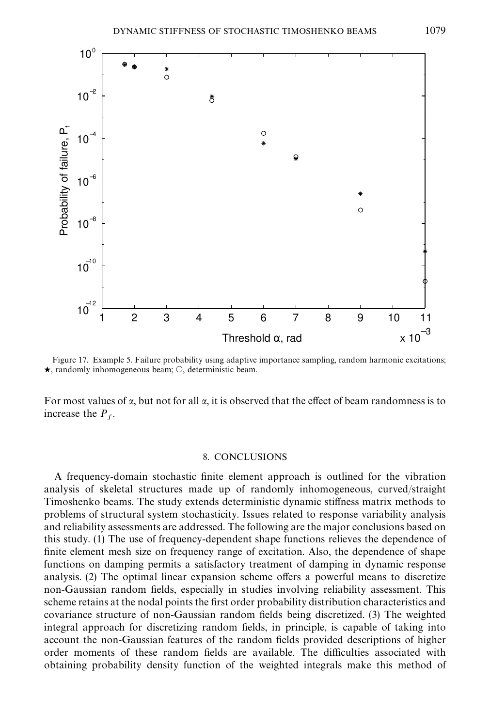

Figure 17. Example 5. Failure probability using adaptive importance sampling, random harmonic excitations;  $\star$ , randomly inhomogeneous beam;  $\circ$ , deterministic beam.

For most values of  $\alpha$ , but not for all  $\alpha$ , it is observed that the effect of beam randomness is to increase the  $P_f$ .

## 8. CONCLUSIONS

A frequency-domain stochastic finite element approach is outlined for the vibration analysis of skeletal structures made up of randomly inhomogeneous, curved/straight Timoshenko beams. The study extends deterministic dynamic stiffness matrix methods to problems of structural system stochasticity. Issues related to response variability analysis and reliability assessments are addressed. The following are the major conclusions based on this study. (1) The use of frequency-dependent shape functions relieves the dependence of finite element mesh size on frequency range of excitation. Also, the dependence of shape functions on damping permits a satisfactory treatment of damping in dynamic response analysis. (2) The optimal linear expansion scheme offers a powerful means to discretize non-Gaussian random fields, especially in studies involving reliability assessment. This scheme retains at the nodal points the first order probability distribution characteristics and covariance structure of non-Gaussian random fields being discretized. (3) The weighted integral approach for discretizing random fields, in principle, is capable of taking into account the non-Gaussian features of the random fields provided descriptions of higher order moments of these random fields are available. The difficulties associated with obtaining probability density function of the weighted integrals make this method of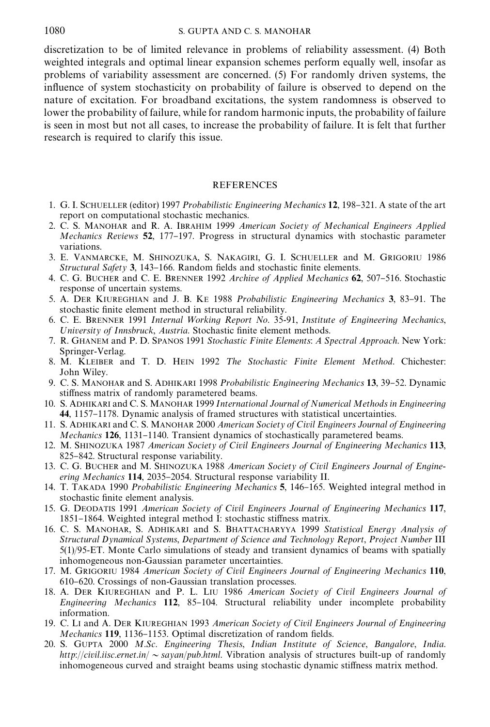discretization to be of limited relevance in problems of reliability assessment. (4) Both weighted integrals and optimal linear expansion schemes perform equally well, insofar as problems of variability assessment are concerned. (5) For randomly driven systems, the influence of system stochasticity on probability of failure is observed to depend on the nature of excitation. For broadband excitations, the systemrandomness is observed to lower the probability of failure, while for random harmonic inputs, the probability of failure is seen in most but not all cases, to increase the probability of failure. It is felt that further research is required to clarify this issue.

## **REFERENCES**

- 1. G. I. SCHUELLER (editor) 1997 Probabilistic Engineering Mechanics 12, 198-321. A state of the art report on computational stochastic mechanics.
- 2. C. S. MANOHAR and R. A. IBRAHIM 1999 American Society of Mechanical Engineers Applied Mechanics Reviews 52, 177-197. Progress in structural dynamics with stochastic parameter variations.
- 3. E. VANMARCKE, M. SHINOZUKA, S. NAKAGIRI, G. I. SCHUELLER and M. GRIGORIU 1986 Structural Safety 3, 143-166. Random fields and stochastic finite elements.
- 4. C. G. BUCHER and C. E. BRENNER 1992 Archive of Applied Mechanics 62, 507-516. Stochastic response of uncertain systems.
- 5. A. DER KIUREGHIAN and J. B. KE 1988 Probabilistic Engineering Mechanics 3, 83-91. The stochastic finite element method in structural reliability.
- 6. C. E. BRENNER 1991 Internal Working Report No. 35-91, Institute of Engineering Mechanics, University of Innsbruck, Austria. Stochastic finite element methods.
- 7. R. GHANEM and P. D. SPANOS 1991 Stochastic Finite Elements: A Spectral Approach. New York: Springer-Verlag.
- 8. M. KLEIBER and T. D. HEIN 1992 The Stochastic Finite Element Method. Chichester: John Wiley.
- 9. C. S. MANOHAR and S. ADHIKARI 1998 Probabilistic Engineering Mechanics 13, 39–52. Dynamic stiffness matrix of randomly parametered beams.
- 10. S. ADHIKARI and C. S. MANOHAR 1999 International Journal of Numerical Methods in Engineering 44, 1157-1178. Dynamic analysis of framed structures with statistical uncertainties.
- 11. S. ADHIKARI and C. S. MANOHAR 2000 American Society of Civil Engineers Journal of Engineering Mechanics 126, 1131-1140. Transient dynamics of stochastically parametered beams.
- 12. M. SHINOZUKA 1987 American Society of Civil Engineers Journal of Engineering Mechanics 113, 825-842. Structural response variability.
- 13. C. G. BUCHER and M. SHINOZUKA 1988 American Society of Civil Engineers Journal of Engineering Mechanics 114, 2035-2054. Structural response variability II.
- 14. T. TAKADA 1990 Probabilistic Engineering Mechanics 5, 146-165. Weighted integral method in stochastic finite element analysis.
- 15. G. DEODATIS 1991 American Society of Civil Engineers Journal of Engineering Mechanics 117, 1851-1864. Weighted integral method I: stochastic stiffness matrix.
- 16. C. S. MANOHAR, S. ADHIKARI and S. BHATTACHARYYA 1999 Statistical Energy Analysis of Structural Dynamical Systems, Department of Science and Technology Report, Project Number III 5(1)/95-ET. Monte Carlo simulations of steady and transient dynamics of beams with spatially inhomogeneous non-Gaussian parameter uncertainties.
- 17. M. GRIGORIU 1984 American Society of Civil Engineers Journal of Engineering Mechanics 110, 610}620. Crossings of non-Gaussian translation processes.
- 18. A. DER KIUREGHIAN and P. L. LIU 1986 American Society of Civil Engineers Journal of Engineering Mechanics  $112$ ,  $85-104$ . Structural reliability under incomplete probability information.
- 19. C. LI and A. DER KIUREGHIAN 1993 American Society of Civil Engineers Journal of Engineering Mechanics 119, 1136-1153. Optimal discretization of random fields.
- 20. S. GUPTA 2000 M.Sc. Engineering Thesis, Indian Institute of Science, Bangalore, India. http://civil.iisc.ernet.in/  $\sim$  sayan/pub.html. Vibration analysis of structures built-up of randomly inhomogeneous curved and straight beams using stochastic dynamic stiffness matrix method.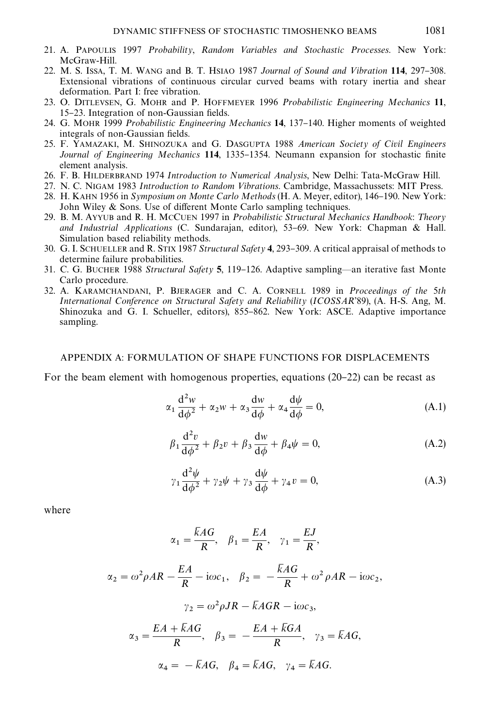- 21. A. PAPOULIS 1997 Probability, Random Variables and Stochastic Processes. New York: McGraw-Hill.
- 22. M. S. ISSA, T. M. WANG and B. T. HSIAO 1987 Journal of Sound and Vibration 114, 297-308. Extensional vibrations of continuous circular curved beams with rotary inertia and shear deformation. Part I: free vibration.
- 23. O. DITLEVSEN, G. MOHR and P. HOFFMEYER 1996 Probabilistic Engineering Mechanics 11, 15-23. Integration of non-Gaussian fields.
- 24. G. MOHR 1999 Probabilistic Engineering Mechanics 14, 137-140. Higher moments of weighted integrals of non-Gaussian fields.
- 25. F. YAMAZAKI, M. SHINOZUKA and G. DASGUPTA 1988 American Society of Civil Engineers Journal of Engineering Mechanics 114, 1335-1354. Neumann expansion for stochastic finite element analysis.
- 26. F. B. HILDERBRAND 1974 Introduction to Numerical Analysis, New Delhi: Tata-McGraw Hill.
- 27. N. C. NIGAM 1983 Introduction to Random Vibrations. Cambridge, Massachussets: MIT Press.
- 28. H. KAHN 1956 in Symposium on Monte Carlo Methods (H. A. Meyer, editor), 146-190. New York: John Wiley & Sons. Use of different Monte Carlo sampling techniques.
- 29. B. M. AYYUB and R. H. MCCUEN 1997 in Probabilistic Structural Mechanics Handbook: Theory and Industrial Applications (C. Sundarajan, editor),  $53-69$ . New York: Chapman & Hall. Simulation based reliability methods.
- 30. G. I. SCHUELLER and R. STIX 1987 Structural Safety 4, 293-309. A critical appraisal of methods to determine failure probabilities.
- 31. C. G. BUCHER 1988 Structural Safety 5, 119–126. Adaptive sampling—an iterative fast Monte Carlo procedure.
- 32. A. KARAMCHANDANI, P. BJERAGER and C. A. CORNELL 1989 in Proceedings of the 5th International Conference on Structural Safety and Reliability (ICOSSAR'89), (A. H-S. Ang, M. Shinozuka and G. I. Schueller, editors), 855-862. New York: ASCE. Adaptive importance sampling.

#### APPENDIX A: FORMULATION OF SHAPE FUNCTIONS FOR DISPLACEMENTS

For the beam element with homogenous properties, equations  $(20-22)$  can be recast as

$$
\alpha_1 \frac{d^2 w}{d\phi^2} + \alpha_2 w + \alpha_3 \frac{dw}{d\phi} + \alpha_4 \frac{d\psi}{d\phi} = 0,
$$
 (A.1)

$$
\beta_1 \frac{\mathrm{d}^2 v}{\mathrm{d}\phi^2} + \beta_2 v + \beta_3 \frac{\mathrm{d}w}{\mathrm{d}\phi} + \beta_4 \psi = 0, \tag{A.2}
$$

$$
\gamma_1 \frac{\mathrm{d}^2 \psi}{\mathrm{d}\phi^2} + \gamma_2 \psi + \gamma_3 \frac{\mathrm{d}\psi}{\mathrm{d}\phi} + \gamma_4 v = 0, \tag{A.3}
$$

,

where

$$
\alpha_1 = \frac{\overline{k}AG}{R}, \quad \beta_1 = \frac{EA}{R}, \quad \gamma_1 = \frac{EJ}{R},
$$
  

$$
\alpha_2 = \omega^2 \rho AR - \frac{EA}{R} - i\omega c_1, \quad \beta_2 = -\frac{\overline{k}AG}{R} + \omega^2 \rho AR - i\omega c_2
$$
  

$$
\gamma_2 = \omega^2 \rho JR - \overline{k}AGR - i\omega c_3,
$$
  

$$
\alpha_3 = \frac{EA + \overline{k}AG}{R}, \quad \beta_3 = -\frac{EA + \overline{k}GA}{R}, \quad \gamma_3 = \overline{k}AG,
$$
  

$$
\alpha_4 = -\overline{k}AG, \quad \beta_4 = \overline{k}AG, \quad \gamma_4 = \overline{k}AG.
$$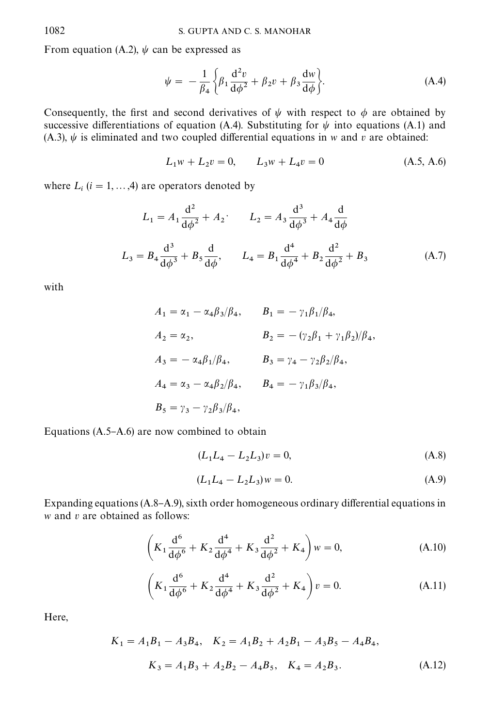From equation (A.2),  $\psi$  can be expressed as

$$
\psi = -\frac{1}{\beta_4} \left\{ \beta_1 \frac{d^2 v}{d\phi^2} + \beta_2 v + \beta_3 \frac{dw}{d\phi} \right\}.
$$
 (A.4)

Consequently, the first and second derivatives of  $\psi$  with respect to  $\phi$  are obtained by successive differentiations of equation (A.4). Substituting for  $\psi$  into equations (A.1) and (A.3),  $\psi$  is eliminated and two coupled differential equations in w and v are obtained:

$$
L_1 w + L_2 v = 0, \qquad L_3 w + L_4 v = 0 \tag{A.5, A.6}
$$

where  $L_i$  ( $i = 1, ..., 4$ ) are operators denoted by

$$
L_1 = A_1 \frac{d^2}{d\phi^2} + A_2, \qquad L_2 = A_3 \frac{d^3}{d\phi^3} + A_4 \frac{d}{d\phi}
$$
  

$$
L_3 = B_4 \frac{d^3}{d\phi^3} + B_5 \frac{d}{d\phi}, \qquad L_4 = B_1 \frac{d^4}{d\phi^4} + B_2 \frac{d^2}{d\phi^2} + B_3
$$
(A.7)

with

$$
A_1 = \alpha_1 - \alpha_4 \beta_3/\beta_4, \qquad B_1 = -\gamma_1 \beta_1/\beta_4,
$$
  
\n
$$
A_2 = \alpha_2, \qquad B_2 = -(\gamma_2 \beta_1 + \gamma_1 \beta_2)/\beta_4,
$$
  
\n
$$
A_3 = -\alpha_4 \beta_1/\beta_4, \qquad B_3 = \gamma_4 - \gamma_2 \beta_2/\beta_4,
$$
  
\n
$$
A_4 = \alpha_3 - \alpha_4 \beta_2/\beta_4, \qquad B_4 = -\gamma_1 \beta_3/\beta_4,
$$
  
\n
$$
B_5 = \gamma_3 - \gamma_2 \beta_3/\beta_4,
$$

Equations  $(A.5-A.6)$  are now combined to obtain

$$
(L_1L_4 - L_2L_3)v = 0,
$$
\n(A.8)

$$
(L_1L_4 - L_2L_3)w = 0.
$$
 (A.9)

Expanding equations  $(A.8-A.9)$ , sixth order homogeneous ordinary differential equations in  $w$  and  $v$  are obtained as follows:

$$
\left(K_1 \frac{d^6}{d\phi^6} + K_2 \frac{d^4}{d\phi^4} + K_3 \frac{d^2}{d\phi^2} + K_4\right) w = 0,
$$
\n(A.10)

$$
\left(K_1 \frac{d^6}{d\phi^6} + K_2 \frac{d^4}{d\phi^4} + K_3 \frac{d^2}{d\phi^2} + K_4\right)v = 0.
$$
 (A.11)

Here,

$$
K_1 = A_1 B_1 - A_3 B_4, \quad K_2 = A_1 B_2 + A_2 B_1 - A_3 B_5 - A_4 B_4,
$$
  

$$
K_3 = A_1 B_3 + A_2 B_2 - A_4 B_5, \quad K_4 = A_2 B_3.
$$
 (A.12)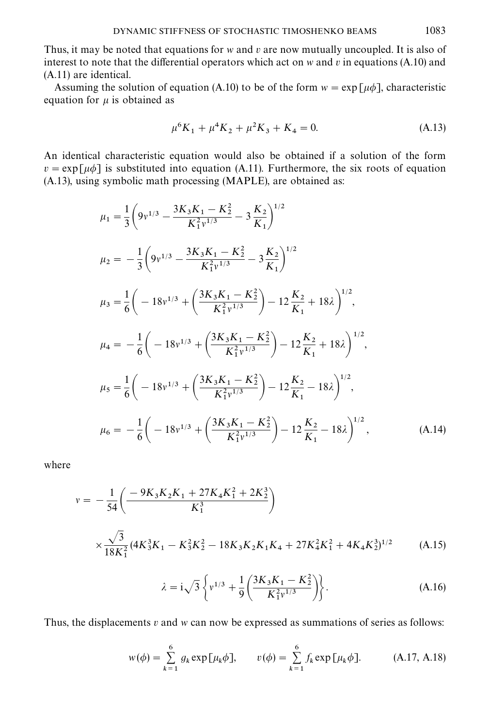Thus, it may be noted that equations for w and v are now mutually uncoupled. It is also of interest to note that the differential operators which act on w and v in equations  $(A.10)$  and (A.11) are identical.

Assuming the solution of equation (A.10) to be of the form  $w = \exp[\mu \phi]$ , characteristic equation for  $\mu$  is obtained as

$$
\mu^6 K_1 + \mu^4 K_2 + \mu^2 K_3 + K_4 = 0. \tag{A.13}
$$

An identical characteristic equation would also be obtained if a solution of the form  $v = \exp[\mu \phi]$  is substituted into equation (A.11). Furthermore, the six roots of equation (A.13), using symbolic math processing (MAPLE), are obtained as:

$$
\mu_{1} = \frac{1}{3} \left( 9v^{1/3} - \frac{3K_{3}K_{1} - K_{2}^{2}}{K_{1}^{2}v^{1/3}} - 3\frac{K_{2}}{K_{1}} \right)^{1/2}
$$
\n
$$
\mu_{2} = -\frac{1}{3} \left( 9v^{1/3} - \frac{3K_{3}K_{1} - K_{2}^{2}}{K_{1}^{2}v^{1/3}} - 3\frac{K_{2}}{K_{1}} \right)^{1/2}
$$
\n
$$
\mu_{3} = \frac{1}{6} \left( -18v^{1/3} + \left( \frac{3K_{3}K_{1} - K_{2}^{2}}{K_{1}^{2}v^{1/3}} \right) - 12\frac{K_{2}}{K_{1}} + 18\lambda \right)^{1/2},
$$
\n
$$
\mu_{4} = -\frac{1}{6} \left( -18v^{1/3} + \left( \frac{3K_{3}K_{1} - K_{2}^{2}}{K_{1}^{2}v^{1/3}} \right) - 12\frac{K_{2}}{K_{1}} + 18\lambda \right)^{1/2},
$$
\n
$$
\mu_{5} = \frac{1}{6} \left( -18v^{1/3} + \left( \frac{3K_{3}K_{1} - K_{2}^{2}}{K_{1}^{2}v^{1/3}} \right) - 12\frac{K_{2}}{K_{1}} - 18\lambda \right)^{1/2},
$$
\n
$$
\mu_{6} = -\frac{1}{6} \left( -18v^{1/3} + \left( \frac{3K_{3}K_{1} - K_{2}^{2}}{K_{1}^{2}v^{1/3}} \right) - 12\frac{K_{2}}{K_{1}} - 18\lambda \right)^{1/2}, \tag{A.14}
$$

where

$$
v = -\frac{1}{54} \left( \frac{-9K_3K_2K_1 + 27K_4K_1^2 + 2K_2^3}{K_1^3} \right)
$$
  
 
$$
\times \frac{\sqrt{3}}{18K_1^2} (4K_3^3K_1 - K_3^2K_2^2 - 18K_3K_2K_1K_4 + 27K_4^2K_1^2 + 4K_4K_2^3)^{1/2}
$$
 (A.15)

$$
\lambda = i\sqrt{3} \left\{ v^{1/3} + \frac{1}{9} \left( \frac{3K_3 K_1 - K_2^2}{K_1^2 v^{1/3}} \right) \right\}.
$$
 (A.16)

Thus, the displacements  $v$  and  $w$  can now be expressed as summations of series as follows:

$$
w(\phi) = \sum_{k=1}^{6} g_k \exp[\mu_k \phi], \qquad v(\phi) = \sum_{k=1}^{6} f_k \exp[\mu_k \phi].
$$
 (A.17, A.18)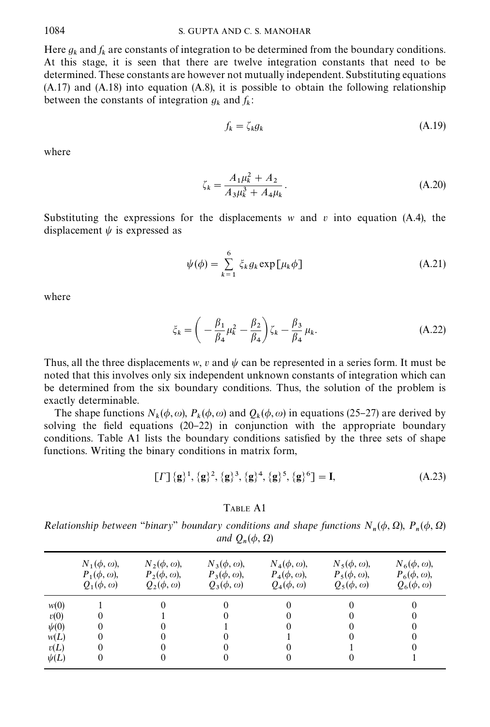Here  $g_k$  and  $f_k$  are constants of integration to be determined from the boundary conditions. At this stage, it is seen that there are twelve integration constants that need to be determined. These constants are however not mutually independent. Substituting equations (A.17) and (A.18) into equation (A.8), it is possible to obtain the following relationship between the constants of integration  $g_k$  and  $f_k$ :

$$
f_k = \zeta_k g_k \tag{A.19}
$$

where

$$
\zeta_k = \frac{A_1 \mu_k^2 + A_2}{A_3 \mu_k^3 + A_4 \mu_k} \,. \tag{A.20}
$$

Substituting the expressions for the displacements w and v into equation (A.4), the displacement  $\psi$  is expressed as

$$
\psi(\phi) = \sum_{k=1}^{6} \xi_k g_k \exp[\mu_k \phi]
$$
\n(A.21)

where

$$
\xi_k = \left(-\frac{\beta_1}{\beta_4}\mu_k^2 - \frac{\beta_2}{\beta_4}\right)\zeta_k - \frac{\beta_3}{\beta_4}\mu_k.
$$
\n(A.22)

Thus, all the three displacements w, v and  $\psi$  can be represented in a series form. It must be noted that this involves only six independent unknown constants of integration which can be determined from the six boundary conditions. Thus, the solution of the problem is exactly determinable.

The shape functions  $N_k(\phi, \omega)$ ,  $P_k(\phi, \omega)$  and  $Q_k(\phi, \omega)$  in equations (25–27) are derived by solving the field equations  $(20-22)$  in conjunction with the appropriate boundary conditions. Table A1 lists the boundary conditions satisfied by the three sets of shape functions. Writing the binary conditions in matrix form,

$$
[ \Gamma ] \{ \mathbf{g} \}^1, \{ \mathbf{g} \}^2, \{ \mathbf{g} \}^3, \{ \mathbf{g} \}^4, \{ \mathbf{g} \}^5, \{ \mathbf{g} \}^6 ] = \mathbf{I}, \tag{A.23}
$$

## TABLE A1

Relationship between "binary" boundary conditions and shape functions  $N_n(\phi, \Omega)$ ,  $P_n(\phi, \Omega)$ and  $Q_n(\phi, \Omega)$ 

|                                                        | $N_1(\phi,\omega),$ | $N_2(\phi,\omega),$ | $N_3(\phi,\omega)$ , | $N_4(\phi,\omega)$ , | $N_5(\phi, \omega)$ , | $N_6(\phi, \omega)$ , |
|--------------------------------------------------------|---------------------|---------------------|----------------------|----------------------|-----------------------|-----------------------|
|                                                        | $P_1(\phi,\omega),$ | $P_2(\phi,\omega),$ | $P_3(\phi,\omega),$  | $P_4(\phi,\omega)$ , | $P_5(\phi,\omega),$   | $P_6(\phi,\omega),$   |
|                                                        | $Q_1(\phi,\omega)$  | $Q_2(\phi,\omega)$  | $Q_3(\phi,\omega)$   | $Q_4(\phi,\omega)$   | $Q_5(\phi,\omega)$    | $Q_6(\phi,\omega)$    |
| w(0)<br>v(0)<br>$\psi(0)$<br>w(L)<br>v(L)<br>$\psi(L)$ | 0                   |                     |                      |                      |                       |                       |